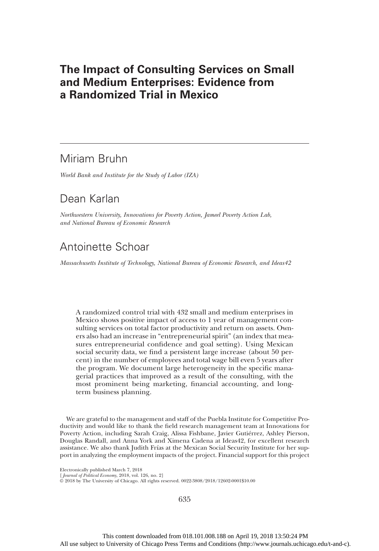# The Impact of Consulting Services on Small and Medium Enterprises: Evidence from a Randomized Trial in Mexico

# Miriam Bruhn

World Bank and Institute for the Study of Labor (IZA)

# Dean Karlan

Northwestern University, Innovations for Poverty Action, Jameel Poverty Action Lab, and National Bureau of Economic Research

# Antoinette Schoar

Massachusetts Institute of Technology, National Bureau of Economic Research, and Ideas42

A randomized control trial with 432 small and medium enterprises in Mexico shows positive impact of access to 1 year of management consulting services on total factor productivity and return on assets. Owners also had an increase in "entrepreneurial spirit" (an index that measures entrepreneurial confidence and goal setting). Using Mexican social security data, we find a persistent large increase (about 50 percent) in the number of employees and total wage bill even 5 years after the program. We document large heterogeneity in the specific managerial practices that improved as a result of the consulting, with the most prominent being marketing, financial accounting, and longterm business planning.

We are grateful to the management and staff of the Puebla Institute for Competitive Productivity and would like to thank the field research management team at Innovations for Poverty Action, including Sarah Craig, Alissa Fishbane, Javier Gutiérrez, Ashley Pierson, Douglas Randall, and Anna York and Ximena Cadena at Ideas42, for excellent research assistance. We also thank Judith Frías at the Mexican Social Security Institute for her support in analyzing the employment impacts of the project. Financial support for this project

Electronically published March 7, 2018

[ Journal of Political Economy, 2018, vol. 126, no. 2]

© 2018 by The University of Chicago. All rights reserved. 0022-3808/2018/12602-0001\$10.00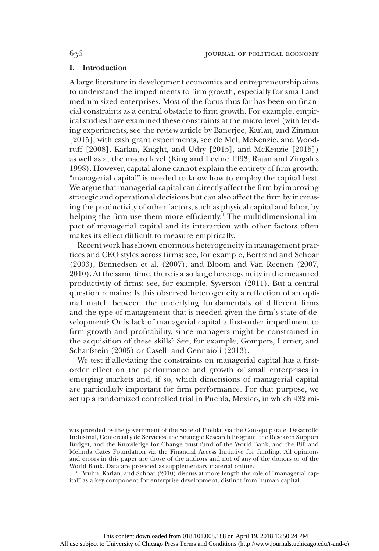# I. Introduction

A large literature in development economics and entrepreneurship aims to understand the impediments to firm growth, especially for small and medium-sized enterprises. Most of the focus thus far has been on financial constraints as a central obstacle to firm growth. For example, empirical studies have examined these constraints at the micro level (with lending experiments, see the review article by Banerjee, Karlan, and Zinman [2015]; with cash grant experiments, see de Mel, McKenzie, and Woodruff [2008], Karlan, Knight, and Udry [2015], and McKenzie [2015]) as well as at the macro level (King and Levine 1993; Rajan and Zingales 1998). However, capital alone cannot explain the entirety of firm growth; "managerial capital" is needed to know how to employ the capital best. We argue that managerial capital can directly affect the firm by improving strategic and operational decisions but can also affect the firm by increasing the productivity of other factors, such as physical capital and labor, by helping the firm use them more efficiently.<sup>1</sup> The multidimensional impact of managerial capital and its interaction with other factors often makes its effect difficult to measure empirically.

Recent work has shown enormous heterogeneity in management practices and CEO styles across firms; see, for example, Bertrand and Schoar (2003), Bennedsen et al. (2007), and Bloom and Van Reenen (2007, 2010). At the same time, there is also large heterogeneity in the measured productivity of firms; see, for example, Syverson (2011). But a central question remains: Is this observed heterogeneity a reflection of an optimal match between the underlying fundamentals of different firms and the type of management that is needed given the firm's state of development? Or is lack of managerial capital a first-order impediment to firm growth and profitability, since managers might be constrained in the acquisition of these skills? See, for example, Gompers, Lerner, and Scharfstein (2005) or Caselli and Gennaioli (2013).

We test if alleviating the constraints on managerial capital has a firstorder effect on the performance and growth of small enterprises in emerging markets and, if so, which dimensions of managerial capital are particularly important for firm performance. For that purpose, we set up a randomized controlled trial in Puebla, Mexico, in which 432 mi-

was provided by the government of the State of Puebla, via the Consejo para el Desarrollo Industrial, Comercial y de Servicios, the Strategic Research Program, the Research Support Budget, and the Knowledge for Change trust fund of the World Bank; and the Bill and Melinda Gates Foundation via the Financial Access Initiative for funding. All opinions and errors in this paper are those of the authors and not of any of the donors or of the World Bank. Data are provided as supplementary material online.

<sup>1</sup> Bruhn, Karlan, and Schoar (2010) discuss at more length the role of "managerial capital" as a key component for enterprise development, distinct from human capital.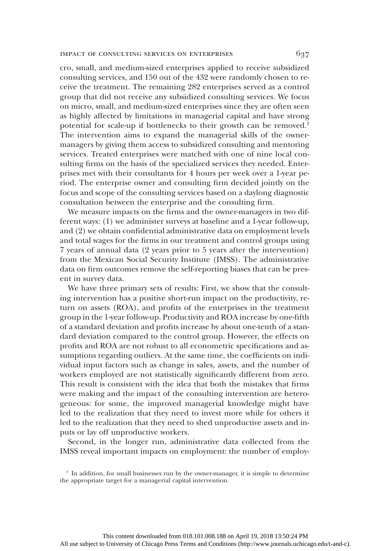### impact of consulting services on enterprises 637

cro, small, and medium-sized enterprises applied to receive subsidized consulting services, and 150 out of the 432 were randomly chosen to receive the treatment. The remaining 282 enterprises served as a control group that did not receive any subsidized consulting services. We focus on micro, small, and medium-sized enterprises since they are often seen as highly affected by limitations in managerial capital and have strong potential for scale-up if bottlenecks to their growth can be removed.<sup>2</sup> The intervention aims to expand the managerial skills of the ownermanagers by giving them access to subsidized consulting and mentoring services. Treated enterprises were matched with one of nine local consulting firms on the basis of the specialized services they needed. Enterprises met with their consultants for 4 hours per week over a 1-year period. The enterprise owner and consulting firm decided jointly on the focus and scope of the consulting services based on a daylong diagnostic consultation between the enterprise and the consulting firm.

We measure impacts on the firms and the owner-managers in two different ways: (1) we administer surveys at baseline and a 1-year follow-up, and (2) we obtain confidential administrative data on employment levels and total wages for the firms in our treatment and control groups using 7 years of annual data (2 years prior to 5 years after the intervention) from the Mexican Social Security Institute (IMSS). The administrative data on firm outcomes remove the self-reporting biases that can be present in survey data.

We have three primary sets of results: First, we show that the consulting intervention has a positive short-run impact on the productivity, return on assets (ROA), and profits of the enterprises in the treatment group in the 1-year follow-up. Productivity and ROA increase by one-fifth of a standard deviation and profits increase by about one-tenth of a standard deviation compared to the control group. However, the effects on profits and ROA are not robust to all econometric specifications and assumptions regarding outliers. At the same time, the coefficients on individual input factors such as change in sales, assets, and the number of workers employed are not statistically significantly different from zero. This result is consistent with the idea that both the mistakes that firms were making and the impact of the consulting intervention are heterogeneous: for some, the improved managerial knowledge might have led to the realization that they need to invest more while for others it led to the realization that they need to shed unproductive assets and inputs or lay off unproductive workers.

Second, in the longer run, administrative data collected from the IMSS reveal important impacts on employment: the number of employ-

<sup>&</sup>lt;sup>2</sup> In addition, for small businesses run by the owner-manager, it is simple to determine the appropriate target for a managerial capital intervention.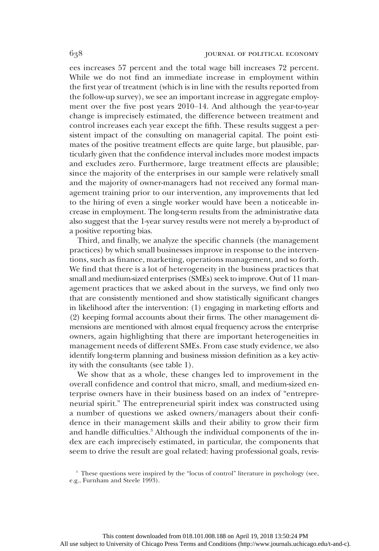ees increases 57 percent and the total wage bill increases 72 percent. While we do not find an immediate increase in employment within the first year of treatment (which is in line with the results reported from the follow-up survey), we see an important increase in aggregate employment over the five post years 2010–14. And although the year-to-year change is imprecisely estimated, the difference between treatment and control increases each year except the fifth. These results suggest a persistent impact of the consulting on managerial capital. The point estimates of the positive treatment effects are quite large, but plausible, particularly given that the confidence interval includes more modest impacts and excludes zero. Furthermore, large treatment effects are plausible; since the majority of the enterprises in our sample were relatively small and the majority of owner-managers had not received any formal management training prior to our intervention, any improvements that led to the hiring of even a single worker would have been a noticeable increase in employment. The long-term results from the administrative data also suggest that the 1-year survey results were not merely a by-product of a positive reporting bias.

Third, and finally, we analyze the specific channels (the management practices) by which small businesses improve in response to the interventions, such as finance, marketing, operations management, and so forth. We find that there is a lot of heterogeneity in the business practices that small and medium-sized enterprises (SMEs) seek to improve. Out of 11 management practices that we asked about in the surveys, we find only two that are consistently mentioned and show statistically significant changes in likelihood after the intervention: (1) engaging in marketing efforts and (2) keeping formal accounts about their firms. The other management dimensions are mentioned with almost equal frequency across the enterprise owners, again highlighting that there are important heterogeneities in management needs of different SMEs. From case study evidence, we also identify long-term planning and business mission definition as a key activity with the consultants (see table 1).

We show that as a whole, these changes led to improvement in the overall confidence and control that micro, small, and medium-sized enterprise owners have in their business based on an index of "entrepreneurial spirit." The entrepreneurial spirit index was constructed using a number of questions we asked owners/managers about their confidence in their management skills and their ability to grow their firm and handle difficulties.<sup>3</sup> Although the individual components of the index are each imprecisely estimated, in particular, the components that seem to drive the result are goal related: having professional goals, revis-

<sup>&</sup>lt;sup>3</sup> These questions were inspired by the "locus of control" literature in psychology (see, e.g., Furnham and Steele 1993).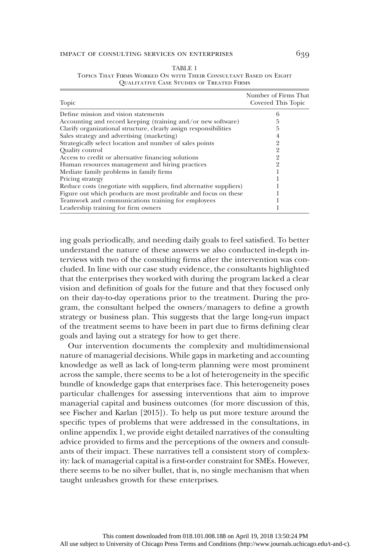#### impact of consulting services on enterprises 639

| Topic                                                               | Number of Firms That<br>Covered This Topic |
|---------------------------------------------------------------------|--------------------------------------------|
| Define mission and vision statements                                | h                                          |
| Accounting and record keeping (training and/or new software)        | b.                                         |
| Clarify organizational structure, clearly assign responsibilities   | b.                                         |
| Sales strategy and advertising (marketing)                          |                                            |
| Strategically select location and number of sales points            |                                            |
| Quality control                                                     | 2                                          |
| Access to credit or alternative financing solutions                 | 2                                          |
| Human resources management and hiring practices                     | 9                                          |
| Mediate family problems in family firms                             |                                            |
| Pricing strategy                                                    |                                            |
| Reduce costs (negotiate with suppliers, find alternative suppliers) |                                            |
| Figure out which products are most profitable and focus on these    |                                            |
| Teamwork and communications training for employees                  |                                            |
| Leadership training for firm owners                                 |                                            |

| TABLE 1                                                          |
|------------------------------------------------------------------|
| Topics That Firms Worked On with Their Consultant Based on Eight |
| <b>OUALITATIVE CASE STUDIES OF TREATED FIRMS</b>                 |

ing goals periodically, and needing daily goals to feel satisfied. To better understand the nature of these answers we also conducted in-depth interviews with two of the consulting firms after the intervention was concluded. In line with our case study evidence, the consultants highlighted that the enterprises they worked with during the program lacked a clear vision and definition of goals for the future and that they focused only on their day-to-day operations prior to the treatment. During the program, the consultant helped the owners/managers to define a growth strategy or business plan. This suggests that the large long-run impact of the treatment seems to have been in part due to firms defining clear goals and laying out a strategy for how to get there.

Our intervention documents the complexity and multidimensional nature of managerial decisions. While gaps in marketing and accounting knowledge as well as lack of long-term planning were most prominent across the sample, there seems to be a lot of heterogeneity in the specific bundle of knowledge gaps that enterprises face. This heterogeneity poses particular challenges for assessing interventions that aim to improve managerial capital and business outcomes (for more discussion of this, see Fischer and Karlan [2015]). To help us put more texture around the specific types of problems that were addressed in the consultations, in online appendix 1, we provide eight detailed narratives of the consulting advice provided to firms and the perceptions of the owners and consultants of their impact. These narratives tell a consistent story of complexity: lack of managerial capital is a first-order constraint for SMEs. However, there seems to be no silver bullet, that is, no single mechanism that when taught unleashes growth for these enterprises.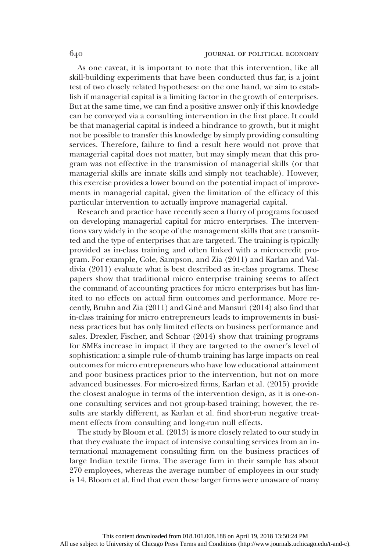As one caveat, it is important to note that this intervention, like all skill-building experiments that have been conducted thus far, is a joint test of two closely related hypotheses: on the one hand, we aim to establish if managerial capital is a limiting factor in the growth of enterprises. But at the same time, we can find a positive answer only if this knowledge can be conveyed via a consulting intervention in the first place. It could be that managerial capital is indeed a hindrance to growth, but it might not be possible to transfer this knowledge by simply providing consulting services. Therefore, failure to find a result here would not prove that managerial capital does not matter, but may simply mean that this program was not effective in the transmission of managerial skills (or that managerial skills are innate skills and simply not teachable). However, this exercise provides a lower bound on the potential impact of improvements in managerial capital, given the limitation of the efficacy of this particular intervention to actually improve managerial capital.

Research and practice have recently seen a flurry of programs focused on developing managerial capital for micro enterprises. The interventions vary widely in the scope of the management skills that are transmitted and the type of enterprises that are targeted. The training is typically provided as in-class training and often linked with a microcredit program. For example, Cole, Sampson, and Zia (2011) and Karlan and Valdivia (2011) evaluate what is best described as in-class programs. These papers show that traditional micro enterprise training seems to affect the command of accounting practices for micro enterprises but has limited to no effects on actual firm outcomes and performance. More recently, Bruhn and Zia (2011) and Giné and Mansuri (2014) also find that in-class training for micro entrepreneurs leads to improvements in business practices but has only limited effects on business performance and sales. Drexler, Fischer, and Schoar (2014) show that training programs for SMEs increase in impact if they are targeted to the owner's level of sophistication: a simple rule-of-thumb training has large impacts on real outcomes for micro entrepreneurs who have low educational attainment and poor business practices prior to the intervention, but not on more advanced businesses. For micro-sized firms, Karlan et al. (2015) provide the closest analogue in terms of the intervention design, as it is one-onone consulting services and not group-based training; however, the results are starkly different, as Karlan et al. find short-run negative treatment effects from consulting and long-run null effects.

The study by Bloom et al. (2013) is more closely related to our study in that they evaluate the impact of intensive consulting services from an international management consulting firm on the business practices of large Indian textile firms. The average firm in their sample has about 270 employees, whereas the average number of employees in our study is 14. Bloom et al. find that even these larger firms were unaware of many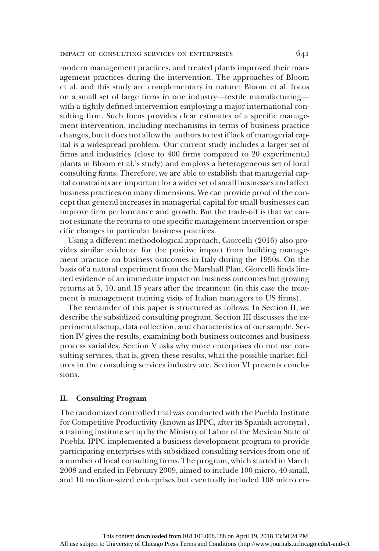### impact of consulting services on enterprises 641

modern management practices, and treated plants improved their management practices during the intervention. The approaches of Bloom et al. and this study are complementary in nature: Bloom et al. focus on a small set of large firms in one industry—textile manufacturing with a tightly defined intervention employing a major international consulting firm. Such focus provides clear estimates of a specific management intervention, including mechanisms in terms of business practice changes, but it does not allow the authors to test if lack of managerial capital is a widespread problem. Our current study includes a larger set of firms and industries (close to 400 firms compared to 20 experimental plants in Bloom et al.'s study) and employs a heterogeneous set of local consulting firms. Therefore, we are able to establish that managerial capital constraints are important for a wider set of small businesses and affect business practices on many dimensions. We can provide proof of the concept that general increases in managerial capital for small businesses can improve firm performance and growth. But the trade-off is that we cannot estimate the returns to one specific management intervention or specific changes in particular business practices.

Using a different methodological approach, Giorcelli (2016) also provides similar evidence for the positive impact from building management practice on business outcomes in Italy during the 1950s. On the basis of a natural experiment from the Marshall Plan, Giorcelli finds limited evidence of an immediate impact on business outcomes but growing returns at 5, 10, and 15 years after the treatment (in this case the treatment is management training visits of Italian managers to US firms).

The remainder of this paper is structured as follows: In Section II, we describe the subsidized consulting program. Section III discusses the experimental setup, data collection, and characteristics of our sample. Section IV gives the results, examining both business outcomes and business process variables. Section V asks why more enterprises do not use consulting services, that is, given these results, what the possible market failures in the consulting services industry are. Section VI presents conclusions.

## II. Consulting Program

The randomized controlled trial was conducted with the Puebla Institute for Competitive Productivity (known as IPPC, after its Spanish acronym), a training institute set up by the Ministry of Labor of the Mexican State of Puebla. IPPC implemented a business development program to provide participating enterprises with subsidized consulting services from one of a number of local consulting firms. The program, which started in March 2008 and ended in February 2009, aimed to include 100 micro, 40 small, and 10 medium-sized enterprises but eventually included 108 micro en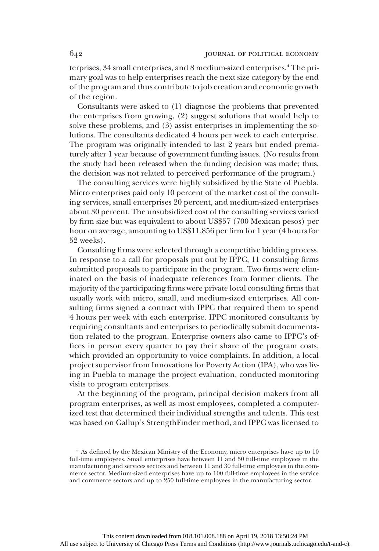terprises, 34 small enterprises, and 8 medium-sized enterprises.4 The primary goal was to help enterprises reach the next size category by the end of the program and thus contribute to job creation and economic growth of the region.

Consultants were asked to (1) diagnose the problems that prevented the enterprises from growing, (2) suggest solutions that would help to solve these problems, and (3) assist enterprises in implementing the solutions. The consultants dedicated 4 hours per week to each enterprise. The program was originally intended to last 2 years but ended prematurely after 1 year because of government funding issues. (No results from the study had been released when the funding decision was made; thus, the decision was not related to perceived performance of the program.)

The consulting services were highly subsidized by the State of Puebla. Micro enterprises paid only 10 percent of the market cost of the consulting services, small enterprises 20 percent, and medium-sized enterprises about 30 percent. The unsubsidized cost of the consulting services varied by firm size but was equivalent to about US\$57 (700 Mexican pesos) per hour on average, amounting to US\$11,856 per firm for 1 year (4 hours for 52 weeks).

Consulting firms were selected through a competitive bidding process. In response to a call for proposals put out by IPPC, 11 consulting firms submitted proposals to participate in the program. Two firms were eliminated on the basis of inadequate references from former clients. The majority of the participating firms were private local consulting firms that usually work with micro, small, and medium-sized enterprises. All consulting firms signed a contract with IPPC that required them to spend 4 hours per week with each enterprise. IPPC monitored consultants by requiring consultants and enterprises to periodically submit documentation related to the program. Enterprise owners also came to IPPC's offices in person every quarter to pay their share of the program costs, which provided an opportunity to voice complaints. In addition, a local project supervisor from Innovations for Poverty Action (IPA), who was living in Puebla to manage the project evaluation, conducted monitoring visits to program enterprises.

At the beginning of the program, principal decision makers from all program enterprises, as well as most employees, completed a computerized test that determined their individual strengths and talents. This test was based on Gallup's StrengthFinder method, and IPPC was licensed to

<sup>4</sup> As defined by the Mexican Ministry of the Economy, micro enterprises have up to 10 full-time employees. Small enterprises have between 11 and 50 full-time employees in the manufacturing and services sectors and between 11 and 30 full-time employees in the commerce sector. Medium-sized enterprises have up to 100 full-time employees in the service and commerce sectors and up to 250 full-time employees in the manufacturing sector.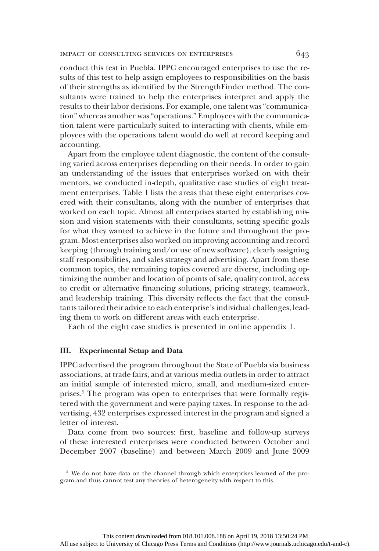conduct this test in Puebla. IPPC encouraged enterprises to use the results of this test to help assign employees to responsibilities on the basis of their strengths as identified by the StrengthFinder method. The consultants were trained to help the enterprises interpret and apply the results to their labor decisions. For example, one talent was"communication" whereas another was"operations." Employees with the communication talent were particularly suited to interacting with clients, while employees with the operations talent would do well at record keeping and accounting.

Apart from the employee talent diagnostic, the content of the consulting varied across enterprises depending on their needs. In order to gain an understanding of the issues that enterprises worked on with their mentors, we conducted in-depth, qualitative case studies of eight treatment enterprises. Table 1 lists the areas that these eight enterprises covered with their consultants, along with the number of enterprises that worked on each topic. Almost all enterprises started by establishing mission and vision statements with their consultants, setting specific goals for what they wanted to achieve in the future and throughout the program. Most enterprises also worked on improving accounting and record keeping (through training and/or use of new software), clearly assigning staff responsibilities, and sales strategy and advertising. Apart from these common topics, the remaining topics covered are diverse, including optimizing the number and location of points of sale, quality control, access to credit or alternative financing solutions, pricing strategy, teamwork, and leadership training. This diversity reflects the fact that the consultants tailored their advice to each enterprise's individual challenges, leading them to work on different areas with each enterprise.

Each of the eight case studies is presented in online appendix 1.

# III. Experimental Setup and Data

IPPC advertised the program throughout the State of Puebla via business associations, at trade fairs, and at various media outlets in order to attract an initial sample of interested micro, small, and medium-sized enterprises.5 The program was open to enterprises that were formally registered with the government and were paying taxes. In response to the advertising, 432 enterprises expressed interest in the program and signed a letter of interest.

Data come from two sources: first, baseline and follow-up surveys of these interested enterprises were conducted between October and December 2007 (baseline) and between March 2009 and June 2009

<sup>&</sup>lt;sup>5</sup> We do not have data on the channel through which enterprises learned of the program and thus cannot test any theories of heterogeneity with respect to this.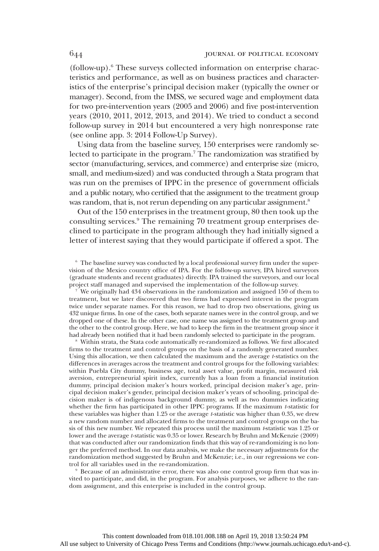(follow-up).6 These surveys collected information on enterprise characteristics and performance, as well as on business practices and characteristics of the enterprise's principal decision maker (typically the owner or manager). Second, from the IMSS, we secured wage and employment data for two pre-intervention years (2005 and 2006) and five post-intervention years (2010, 2011, 2012, 2013, and 2014). We tried to conduct a second follow-up survey in 2014 but encountered a very high nonresponse rate (see online app. 3: 2014 Follow-Up Survey).

Using data from the baseline survey, 150 enterprises were randomly selected to participate in the program.7 The randomization was stratified by sector (manufacturing, services, and commerce) and enterprise size (micro, small, and medium-sized) and was conducted through a Stata program that was run on the premises of IPPC in the presence of government officials and a public notary, who certified that the assignment to the treatment group was random, that is, not rerun depending on any particular assignment.<sup>8</sup>

Out of the 150 enterprises in the treatment group, 80 then took up the consulting services.9 The remaining 70 treatment group enterprises declined to participate in the program although they had initially signed a letter of interest saying that they would participate if offered a spot. The

 $7^7$  We originally had 434 observations in the randomization and assigned 150 of them to treatment, but we later discovered that two firms had expressed interest in the program twice under separate names. For this reason, we had to drop two observations, giving us 432 unique firms. In one of the cases, both separate names were in the control group, and we dropped one of these. In the other case, one name was assigned to the treatment group and the other to the control group. Here, we had to keep the firm in the treatment group since it had already been notified that it had been randomly selected to participate in the program.

<sup>8</sup> Within strata, the Stata code automatically re-randomized as follows. We first allocated firms to the treatment and control groups on the basis of a randomly generated number. Using this allocation, we then calculated the maximum and the average  $t$ -statistics on the differences in averages across the treatment and control groups for the following variables: within Puebla City dummy, business age, total asset value, profit margin, measured risk aversion, entrepreneurial spirit index, currently has a loan from a financial institution dummy, principal decision maker's hours worked, principal decision maker's age, principal decision maker's gender, principal decision maker's years of schooling, principal decision maker is of indigenous background dummy, as well as two dummies indicating whether the firm has participated in other IPPC programs. If the maximum  $t$ -statistic for these variables was higher than 1.25 or the average *t*-statistic was higher than 0.35, we drew a new random number and allocated firms to the treatment and control groups on the basis of this new number. We repeated this process until the maximum t-statistic was 1.25 or lower and the average t-statistic was 0.35 or lower. Research by Bruhn and McKenzie (2009) that was conducted after our randomization finds that this way of re-randomizing is no longer the preferred method. In our data analysis, we make the necessary adjustments for the randomization method suggested by Bruhn and McKenzie; i.e., in our regressions we control for all variables used in the re-randomization.

<sup>9</sup> Because of an administrative error, there was also one control group firm that was invited to participate, and did, in the program. For analysis purposes, we adhere to the random assignment, and this enterprise is included in the control group.

<sup>&</sup>lt;sup>6</sup> The baseline survey was conducted by a local professional survey firm under the supervision of the Mexico country office of IPA. For the follow-up survey, IPA hired surveyors (graduate students and recent graduates) directly. IPA trained the surveyors, and our local project staff managed and supervised the implementation of the follow-up survey.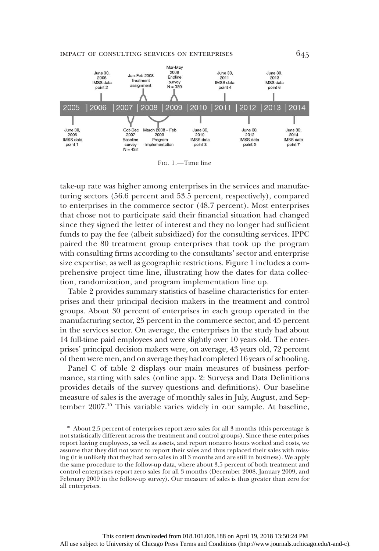

FIG. 1.—Time line

take-up rate was higher among enterprises in the services and manufacturing sectors (56.6 percent and 53.5 percent, respectively), compared to enterprises in the commerce sector (48.7 percent). Most enterprises that chose not to participate said their financial situation had changed since they signed the letter of interest and they no longer had sufficient funds to pay the fee (albeit subsidized) for the consulting services. IPPC paired the 80 treatment group enterprises that took up the program with consulting firms according to the consultants' sector and enterprise size expertise, as well as geographic restrictions. Figure 1 includes a comprehensive project time line, illustrating how the dates for data collection, randomization, and program implementation line up.

Table 2 provides summary statistics of baseline characteristics for enterprises and their principal decision makers in the treatment and control groups. About 30 percent of enterprises in each group operated in the manufacturing sector, 25 percent in the commerce sector, and 45 percent in the services sector. On average, the enterprises in the study had about 14 full-time paid employees and were slightly over 10 years old. The enterprises' principal decision makers were, on average, 43 years old, 72 percent of them were men, and on average they had completed 16 years of schooling.

Panel C of table 2 displays our main measures of business performance, starting with sales (online app. 2: Surveys and Data Definitions provides details of the survey questions and definitions). Our baseline measure of sales is the average of monthly sales in July, August, and September 2007.10 This variable varies widely in our sample. At baseline,

 $10$  About 2.5 percent of enterprises report zero sales for all 3 months (this percentage is not statistically different across the treatment and control groups). Since these enterprises report having employees, as well as assets, and report nonzero hours worked and costs, we assume that they did not want to report their sales and thus replaced their sales with missing (it is unlikely that they had zero sales in all 3 months and are still in business). We apply the same procedure to the follow-up data, where about 3.5 percent of both treatment and control enterprises report zero sales for all 3 months (December 2008, January 2009, and February 2009 in the follow-up survey). Our measure of sales is thus greater than zero for all enterprises.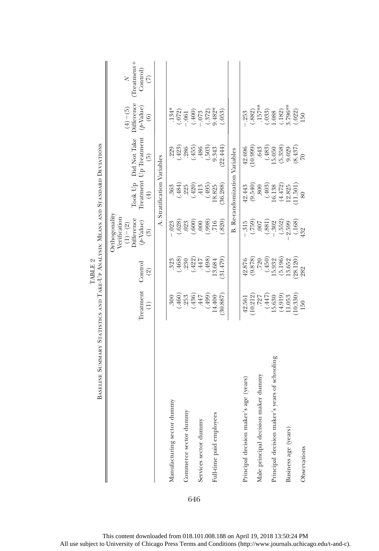| BASELINE SUMMARY STATISTICS AND TAKE-UP ANALYSIS: MEANS AND STANDARD DEVIATIONS |                            |                           |                                                                                          |                                      |                                                                        |                                                                                                 |                                                    |
|---------------------------------------------------------------------------------|----------------------------|---------------------------|------------------------------------------------------------------------------------------|--------------------------------------|------------------------------------------------------------------------|-------------------------------------------------------------------------------------------------|----------------------------------------------------|
|                                                                                 | Treatment<br>$\widehat{E}$ | Control<br>$\circledcirc$ | Orthogonality<br>Verification<br>Difference<br>$(p$ Value)<br>$(1)-(2)$<br>$\circled{3}$ | $\left( 4\right)$                    | Took Up Did Not Take<br>Treatment Up Treatment<br>$\widetilde{\Theta}$ | Difference<br>$(\cancel{p}$ Value)<br>$(4)-(5)$<br>$\circledcirc$                               | (Treatment+<br>Control)<br>$\geq$<br>$\widehat{C}$ |
|                                                                                 |                            |                           |                                                                                          | A. Stratification Variables          |                                                                        |                                                                                                 |                                                    |
| Manufacturing sector dummy                                                      | $\frac{300}{2}$            | 323                       | $-.023$                                                                                  | 363                                  | 229                                                                    | $.134*$                                                                                         |                                                    |
|                                                                                 | (.460)                     | (.468)                    | $(.628)$<br>$.023$                                                                       | (.484)                               | $(.423)$<br>$.286$<br>$(.455)$                                         |                                                                                                 |                                                    |
| Commerce sector dummy                                                           | .253                       | .230                      |                                                                                          |                                      |                                                                        |                                                                                                 |                                                    |
|                                                                                 | (.436)                     | $(.422)$<br>$.447$        | (.600)                                                                                   | $.225$<br>(.420)                     |                                                                        | $\begin{array}{c} (.072) \\ -.061 \\ (.400) \\ -.073 \\ (.372) \\ (.372) \\ (.372) \end{array}$ |                                                    |
| Services sector dummy                                                           | .447                       |                           | 000                                                                                      | .413                                 | .486                                                                   |                                                                                                 |                                                    |
|                                                                                 | (.664.)                    | (498)                     | $\frac{915}{716}$                                                                        | (495)                                | (.503)                                                                 |                                                                                                 |                                                    |
| Full-time paid employees                                                        | 14.400                     | 13.684                    |                                                                                          | 18.825                               | 9.343                                                                  |                                                                                                 |                                                    |
|                                                                                 | (30.887)                   | (31.479)                  | (038)                                                                                    | 36.288                               | (22.444)                                                               | (.053)                                                                                          |                                                    |
|                                                                                 |                            |                           |                                                                                          | <b>B.</b> Re-randomization Variables |                                                                        |                                                                                                 |                                                    |
| Principal decision maker's age (years)                                          | 42.561                     | 42.876                    | $-.315$                                                                                  | 42.443                               | 42.696                                                                 | .253                                                                                            |                                                    |
|                                                                                 | (10.212)                   | (9.878)                   | (559)                                                                                    | (9.540)                              | (10.999)                                                               | (.882)                                                                                          |                                                    |
| Male principal decision maker dummy                                             | .727                       | .720                      | 700.                                                                                     | .800                                 | .643                                                                   | $.157***$                                                                                       |                                                    |
|                                                                                 | (447)                      | $(450)$<br>15.932         | (.881)                                                                                   | (.403)                               | (.483)                                                                 | $(.033)$<br>$(.088)$                                                                            |                                                    |
| Principal decision maker's years of schooling                                   | 15.630                     |                           | $-.302$                                                                                  | 16.138                               | 15.050                                                                 |                                                                                                 |                                                    |
|                                                                                 | (4.919)                    | (5.196)                   | (.552)                                                                                   | $(4.472)$<br>12.825                  | (5.358)                                                                |                                                                                                 |                                                    |
| Business age (years)                                                            | 11.053                     | 13.652                    | 2.599                                                                                    |                                      | 9.029                                                                  |                                                                                                 |                                                    |
|                                                                                 | (10.330)                   | 28.120                    | (.168)                                                                                   | 11.501)                              | (8.437)                                                                | $\begin{array}{c} (.182) \\ 3.796^{***} \\ (.022) \\ 150 \end{array}$                           |                                                    |
| Observations                                                                    | 150                        | 282                       | 132                                                                                      | 80                                   |                                                                        |                                                                                                 |                                                    |

TABLE 2 TABLE 2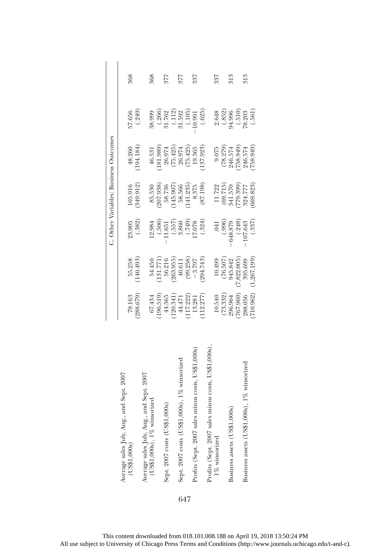|                                                       |                                                                                                                                  |                                                                                                                           |                                                                                                          | C. Other Variables: Business Outcomes                                                                                                        |                                                                                                                 |                                                                                                  |     |
|-------------------------------------------------------|----------------------------------------------------------------------------------------------------------------------------------|---------------------------------------------------------------------------------------------------------------------------|----------------------------------------------------------------------------------------------------------|----------------------------------------------------------------------------------------------------------------------------------------------|-----------------------------------------------------------------------------------------------------------------|--------------------------------------------------------------------------------------------------|-----|
| and Sept. 2007<br>Average sales July, Aug.,           |                                                                                                                                  |                                                                                                                           |                                                                                                          |                                                                                                                                              |                                                                                                                 |                                                                                                  |     |
| (US\$1,000s)                                          | 79.163                                                                                                                           |                                                                                                                           |                                                                                                          |                                                                                                                                              | 48.260                                                                                                          | 57.656                                                                                           | 368 |
|                                                       | 288.679)                                                                                                                         | 55.258<br>(140.493)                                                                                                       | $23.905$<br>(.382)                                                                                       | $105.916$<br>$(349.912)$                                                                                                                     | 194.184)                                                                                                        | (.249)                                                                                           |     |
| Average sales July, Aug., and Sept. 2007              |                                                                                                                                  |                                                                                                                           |                                                                                                          |                                                                                                                                              |                                                                                                                 |                                                                                                  |     |
| (US\$1,000s), 1% winsorized                           |                                                                                                                                  |                                                                                                                           |                                                                                                          |                                                                                                                                              | 46.531                                                                                                          | 38.999                                                                                           | 368 |
|                                                       |                                                                                                                                  |                                                                                                                           |                                                                                                          |                                                                                                                                              |                                                                                                                 |                                                                                                  |     |
| Sept. 2007 costs (US\$1,000s)                         |                                                                                                                                  |                                                                                                                           |                                                                                                          |                                                                                                                                              |                                                                                                                 |                                                                                                  | 877 |
|                                                       |                                                                                                                                  |                                                                                                                           |                                                                                                          |                                                                                                                                              |                                                                                                                 |                                                                                                  |     |
| Sept. 2007 costs (US\$1,000s), 1% winsorized          |                                                                                                                                  |                                                                                                                           |                                                                                                          |                                                                                                                                              |                                                                                                                 |                                                                                                  | 577 |
|                                                       | $\begin{array}{c} 67.434 \\ (196.519) \\ 44.565 \\ (120.341) \\ 44.471 \\ 44.71 \\ (117.222) \\ (117.223) \\ 13.281 \end{array}$ | $\begin{array}{c} 54.450 \\ (131.771) \\ 56.216 \\ (263.955) \\ (263.958) \\ (99.258) \\ -3.797 \\ (204.743) \end{array}$ | $\begin{array}{r} 12.984 \\ (1.506) \\ (-11.651) \\ (1.557) \\ 3.860 \\ (7.49) \\ 17.078 \\ \end{array}$ | $\begin{array}{c} 85.530 \\ (207.938) \\ 58.736 \\ (145.907) \\ 58.566 \\ (145.907) \\ 58.555 \\ (141.235) \\ 8.375 \\ (87.198) \end{array}$ | $\begin{array}{c} (181.989) \\ 26.974 \\ (75.425) \\ 26.974 \\ (75.425) \\ (75.425) \\ (19.425) \\ \end{array}$ | $\begin{array}{c} (.266) \\ 31.762 \\ (.112) \\ 31.592 \\ (.105) \\ (-105) \\ \end{array}$       |     |
| minus costs, US\$1,000s)<br>Profits (Sept. 2007 sales |                                                                                                                                  |                                                                                                                           |                                                                                                          |                                                                                                                                              |                                                                                                                 |                                                                                                  | 337 |
|                                                       | (112.277)                                                                                                                        |                                                                                                                           |                                                                                                          |                                                                                                                                              | 137.923                                                                                                         | (.625)                                                                                           |     |
| minus costs, US\$1,000s)<br>Profits (Sept. 2007 sales |                                                                                                                                  |                                                                                                                           |                                                                                                          |                                                                                                                                              |                                                                                                                 |                                                                                                  |     |
| $1\%$ winsorized                                      |                                                                                                                                  |                                                                                                                           |                                                                                                          |                                                                                                                                              | 9.075                                                                                                           |                                                                                                  | 337 |
|                                                       | $\begin{array}{c} 10.540 \\ (73.332) \\ 296.964 \end{array}$                                                                     | $\begin{array}{c} 10.499 \\ (76.507) \\ 945.842 \end{array}$                                                              | $\begin{array}{c} .041 \\ .996) \\ -648.879 \\ (-248) \\ (-248) \\ (-107.643 \\ -107.643 \end{array}$    | $\begin{array}{c} 11.722 \\ (69.715) \\ 341.570 \\ (779.399) \\ 324.777 \\ 324.777 \\ \end{array}$                                           | $(78.279)$<br>$246.574$                                                                                         | $\begin{array}{l} 2.648 \\ (.852) \\ (.853) \\ (.510) \\ (.561) \\ (.561) \\ (.561) \end{array}$ |     |
| Business assets (US\$1,000s)                          |                                                                                                                                  |                                                                                                                           |                                                                                                          |                                                                                                                                              |                                                                                                                 |                                                                                                  | 313 |
|                                                       | 767.969)<br>288.056                                                                                                              | $(7,822.005)$<br>$395.699$                                                                                                |                                                                                                          |                                                                                                                                              | $(758.949)$<br>246.574                                                                                          |                                                                                                  |     |
| Business assets (US\$1,000s), 1% winsorized           |                                                                                                                                  |                                                                                                                           |                                                                                                          |                                                                                                                                              |                                                                                                                 |                                                                                                  | 313 |
|                                                       | 710.962)                                                                                                                         | (1,267.199)                                                                                                               |                                                                                                          |                                                                                                                                              | 758.949)                                                                                                        |                                                                                                  |     |

This content downloaded from 018.101.008.188 on April 19, 2018 13:50:24 PM All use subject to University of Chicago Press Terms and Conditions (http://www.journals.uchicago.edu/t-and-c).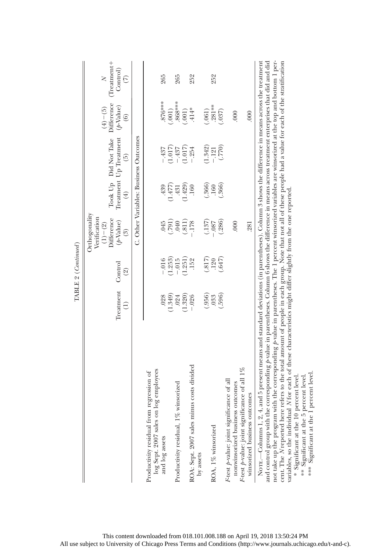|                                                                                                                                                                                                                                                                                                                                                                                                                                                                                                                                                                                                                                                                                                                                                                                                                                                                                 |                              | TABLE 2 (Continued) |                                                                                |                |                                                                    |                                                                         |                                                    |
|---------------------------------------------------------------------------------------------------------------------------------------------------------------------------------------------------------------------------------------------------------------------------------------------------------------------------------------------------------------------------------------------------------------------------------------------------------------------------------------------------------------------------------------------------------------------------------------------------------------------------------------------------------------------------------------------------------------------------------------------------------------------------------------------------------------------------------------------------------------------------------|------------------------------|---------------------|--------------------------------------------------------------------------------|----------------|--------------------------------------------------------------------|-------------------------------------------------------------------------|----------------------------------------------------|
|                                                                                                                                                                                                                                                                                                                                                                                                                                                                                                                                                                                                                                                                                                                                                                                                                                                                                 | Treatment<br>$\widehat{\Xi}$ | Control<br>(2)      | Orthogonality<br>Verification<br>Difference<br>$(p$ Value)<br>$(1)-(2)$<br>(3) | $\tag{4}$      | Took Up Did Not Take<br>Treatment Up Treatment<br>$\left(5\right)$ | Difference<br>$(p\mbox{-}\mathit{Value})$<br>$(4)-(5)$<br>$\circled{6}$ | (Treatment+<br>Control)<br>$\geq$<br>$\widehat{C}$ |
|                                                                                                                                                                                                                                                                                                                                                                                                                                                                                                                                                                                                                                                                                                                                                                                                                                                                                 |                              |                     |                                                                                |                | C. Other Variables: Business Outcomes                              |                                                                         |                                                    |
| log Sept. 2007 sales on log employees<br>Productivity residual from regression of                                                                                                                                                                                                                                                                                                                                                                                                                                                                                                                                                                                                                                                                                                                                                                                               | .028                         | $-.016$             | 045                                                                            | .439           | $-.437$                                                            | 876***                                                                  | 265                                                |
| and log assets                                                                                                                                                                                                                                                                                                                                                                                                                                                                                                                                                                                                                                                                                                                                                                                                                                                                  | (1.349)                      | (1.253)             | (197)                                                                          | (1.477)        | (1.017)                                                            | (.001)                                                                  |                                                    |
| Productivity residual, 1% winsorized                                                                                                                                                                                                                                                                                                                                                                                                                                                                                                                                                                                                                                                                                                                                                                                                                                            | .024                         | $-0.015$            | $040\,$                                                                        | .431           | $-.437$                                                            | 868***                                                                  | 265                                                |
| ROA: Sept. 2007 sales minus costs divided                                                                                                                                                                                                                                                                                                                                                                                                                                                                                                                                                                                                                                                                                                                                                                                                                                       | (1.320)<br>$-.026$           | (1.251)<br>.152     | $(-178)$                                                                       | 1.429)<br>.160 | (1.017)<br>$-.254$                                                 | .414*<br>(.001)                                                         | 252                                                |
| by assets                                                                                                                                                                                                                                                                                                                                                                                                                                                                                                                                                                                                                                                                                                                                                                                                                                                                       |                              |                     |                                                                                |                |                                                                    |                                                                         |                                                    |
|                                                                                                                                                                                                                                                                                                                                                                                                                                                                                                                                                                                                                                                                                                                                                                                                                                                                                 | (.956)                       | (.817)              | (.137)                                                                         | (.366)         | 1.342                                                              | (.061)                                                                  |                                                    |
| ROA, 1% winsorized                                                                                                                                                                                                                                                                                                                                                                                                                                                                                                                                                                                                                                                                                                                                                                                                                                                              | .033                         | (0.647)<br>.120     | $-0.87$                                                                        | .160           | (770)<br>$-.121$                                                   | .281**                                                                  | 252                                                |
| F-test p-value: joint significance of all                                                                                                                                                                                                                                                                                                                                                                                                                                                                                                                                                                                                                                                                                                                                                                                                                                       | (.596)                       |                     | (.286)                                                                         | (.366)         |                                                                    | (.037)                                                                  |                                                    |
| nonwinsorized business outcomes                                                                                                                                                                                                                                                                                                                                                                                                                                                                                                                                                                                                                                                                                                                                                                                                                                                 |                              |                     | 000.                                                                           |                |                                                                    | .000                                                                    |                                                    |
| F-test p-value: joint significance of all 1%                                                                                                                                                                                                                                                                                                                                                                                                                                                                                                                                                                                                                                                                                                                                                                                                                                    |                              |                     |                                                                                |                |                                                                    |                                                                         |                                                    |
| winsorized business outcomes                                                                                                                                                                                                                                                                                                                                                                                                                                                                                                                                                                                                                                                                                                                                                                                                                                                    |                              |                     | .281                                                                           |                |                                                                    | .000                                                                    |                                                    |
| not take up the program with the corresponding p-value in parentheses. The 1 percent winsorized variables are winsorized at the top and bottom 1 per-<br>NOTE.—Columns 1, 2, 4, and 5 present means and standard deviations (in parentheses). Column 3 shows the difference in means across the treatment<br>and control group with the corresponding p-value in parentheses. Column 6 shows the difference in means across treatment enterprises that did and did<br>cent. The N reported here refers to the total amount of people in each group. Note that not all of these people had a value for each of the stratification<br>variables, so the individual N for each of these characteristics might differ slightly from the one reported<br>1 percent level<br>* Significant at the 10 percent level<br>** Significant at the 5 percent level<br>*** Significant at the |                              |                     |                                                                                |                |                                                                    |                                                                         |                                                    |

This content downloaded from 018.101.008.188 on April 19, 2018 13:50:24 PM All use subject to University of Chicago Press Terms and Conditions (http://www.journals.uchicago.edu/t-and-c).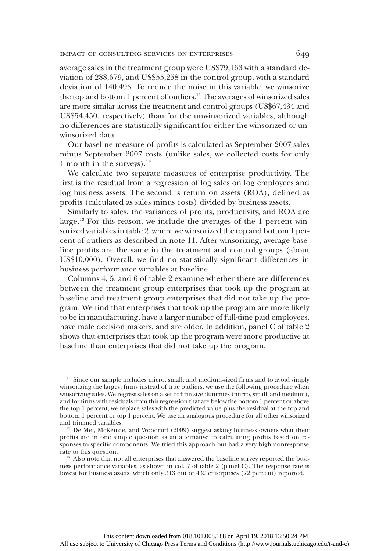average sales in the treatment group were US\$79,163 with a standard deviation of 288,679, and US\$55,258 in the control group, with a standard deviation of 140,493. To reduce the noise in this variable, we winsorize the top and bottom 1 percent of outliers.11 The averages of winsorized sales are more similar across the treatment and control groups (US\$67,434 and US\$54,450, respectively) than for the unwinsorized variables, although no differences are statistically significant for either the winsorized or unwinsorized data.

Our baseline measure of profits is calculated as September 2007 sales minus September 2007 costs (unlike sales, we collected costs for only 1 month in the surveys). $12$ 

We calculate two separate measures of enterprise productivity. The first is the residual from a regression of log sales on log employees and log business assets. The second is return on assets (ROA), defined as profits (calculated as sales minus costs) divided by business assets.

Similarly to sales, the variances of profits, productivity, and ROA are large.13 For this reason, we include the averages of the 1 percent winsorized variables in table 2, where we winsorized the top and bottom 1 percent of outliers as described in note 11. After winsorizing, average baseline profits are the same in the treatment and control groups (about US\$10,000). Overall, we find no statistically significant differences in business performance variables at baseline.

Columns 4, 5, and 6 of table 2 examine whether there are differences between the treatment group enterprises that took up the program at baseline and treatment group enterprises that did not take up the program. We find that enterprises that took up the program are more likely to be in manufacturing, have a larger number of full-time paid employees, have male decision makers, and are older. In addition, panel C of table 2 shows that enterprises that took up the program were more productive at baseline than enterprises that did not take up the program.

 $11$  Since our sample includes micro, small, and medium-sized firms and to avoid simply winsorizing the largest firms instead of true outliers, we use the following procedure when winsorizing sales. We regress sales on a set of firm size dummies (micro, small, and medium), and for firms with residuals from this regression that are below the bottom 1 percent or above the top 1 percent, we replace sales with the predicted value plus the residual at the top and bottom 1 percent or top 1 percent. We use an analogous procedure for all other winsorized and trimmed variables.

 $12$  De Mel, McKenzie, and Woodruff (2009) suggest asking business owners what their profits are in one simple question as an alternative to calculating profits based on responses to specific components. We tried this approach but had a very high nonresponse rate to this question.

<sup>13</sup> Also note that not all enterprises that answered the baseline survey reported the business performance variables, as shown in col. 7 of table 2 (panel C). The response rate is lowest for business assets, which only 313 out of 432 enterprises (72 percent) reported.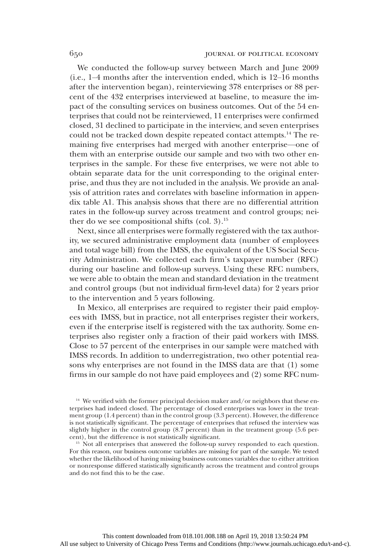We conducted the follow-up survey between March and June 2009 (i.e., 1–4 months after the intervention ended, which is 12–16 months after the intervention began), reinterviewing 378 enterprises or 88 percent of the 432 enterprises interviewed at baseline, to measure the impact of the consulting services on business outcomes. Out of the 54 enterprises that could not be reinterviewed, 11 enterprises were confirmed closed, 31 declined to participate in the interview, and seven enterprises could not be tracked down despite repeated contact attempts.<sup>14</sup> The remaining five enterprises had merged with another enterprise—one of them with an enterprise outside our sample and two with two other enterprises in the sample. For these five enterprises, we were not able to obtain separate data for the unit corresponding to the original enterprise, and thus they are not included in the analysis. We provide an analysis of attrition rates and correlates with baseline information in appendix table A1. This analysis shows that there are no differential attrition rates in the follow-up survey across treatment and control groups; neither do we see compositional shifts (col.  $3$ ).<sup>15</sup>

Next, since all enterprises were formally registered with the tax authority, we secured administrative employment data (number of employees and total wage bill) from the IMSS, the equivalent of the US Social Security Administration. We collected each firm's taxpayer number (RFC) during our baseline and follow-up surveys. Using these RFC numbers, we were able to obtain the mean and standard deviation in the treatment and control groups (but not individual firm-level data) for 2 years prior to the intervention and 5 years following.

In Mexico, all enterprises are required to register their paid employees with IMSS, but in practice, not all enterprises register their workers, even if the enterprise itself is registered with the tax authority. Some enterprises also register only a fraction of their paid workers with IMSS. Close to 57 percent of the enterprises in our sample were matched with IMSS records. In addition to underregistration, two other potential reasons why enterprises are not found in the IMSS data are that (1) some firms in our sample do not have paid employees and (2) some RFC num-

<sup>14</sup> We verified with the former principal decision maker and/or neighbors that these enterprises had indeed closed. The percentage of closed enterprises was lower in the treatment group (1.4 percent) than in the control group (3.3 percent). However, the difference is not statistically significant. The percentage of enterprises that refused the interview was slightly higher in the control group (8.7 percent) than in the treatment group (5.6 percent), but the difference is not statistically significant.

<sup>15</sup> Not all enterprises that answered the follow-up survey responded to each question. For this reason, our business outcome variables are missing for part of the sample. We tested whether the likelihood of having missing business outcomes variables due to either attrition or nonresponse differed statistically significantly across the treatment and control groups and do not find this to be the case.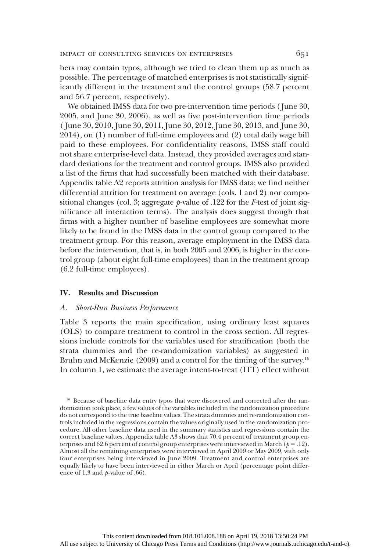bers may contain typos, although we tried to clean them up as much as possible. The percentage of matched enterprises is not statistically significantly different in the treatment and the control groups (58.7 percent and 56.7 percent, respectively).

We obtained IMSS data for two pre-intervention time periods ( June 30, 2005, and June 30, 2006), as well as five post-intervention time periods ( June 30, 2010, June 30, 2011, June 30, 2012, June 30, 2013, and June 30, 2014), on (1) number of full-time employees and (2) total daily wage bill paid to these employees. For confidentiality reasons, IMSS staff could not share enterprise-level data. Instead, they provided averages and standard deviations for the treatment and control groups. IMSS also provided a list of the firms that had successfully been matched with their database. Appendix table A2 reports attrition analysis for IMSS data; we find neither differential attrition for treatment on average (cols. 1 and 2) nor compositional changes (col. 3; aggregate  $p$ -value of .122 for the  $F$ -test of joint significance all interaction terms). The analysis does suggest though that firms with a higher number of baseline employees are somewhat more likely to be found in the IMSS data in the control group compared to the treatment group. For this reason, average employment in the IMSS data before the intervention, that is, in both 2005 and 2006, is higher in the control group (about eight full-time employees) than in the treatment group (6.2 full-time employees).

# IV. Results and Discussion

## A. Short-Run Business Performance

Table 3 reports the main specification, using ordinary least squares (OLS) to compare treatment to control in the cross section. All regressions include controls for the variables used for stratification (both the strata dummies and the re-randomization variables) as suggested in Bruhn and McKenzie (2009) and a control for the timing of the survey.<sup>16</sup> In column 1, we estimate the average intent-to-treat (ITT) effect without

<sup>&</sup>lt;sup>16</sup> Because of baseline data entry typos that were discovered and corrected after the randomization took place, a few values of the variables included in the randomization procedure do not correspond to the true baseline values. The strata dummies and re-randomization controls included in the regressions contain the values originally used in the randomization procedure. All other baseline data used in the summary statistics and regressions contain the correct baseline values. Appendix table A3 shows that 70.4 percent of treatment group enterprises and 62.6 percent of control group enterprises were interviewed in March ( $p = .12$ ). Almost all the remaining enterprises were interviewed in April 2009 or May 2009, with only four enterprises being interviewed in June 2009. Treatment and control enterprises are equally likely to have been interviewed in either March or April (percentage point difference of 1.3 and  $p$ -value of .66).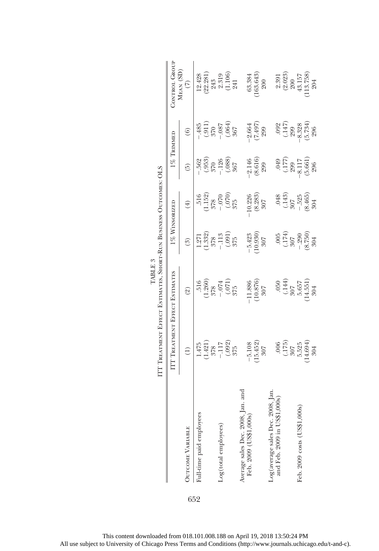|                                                             |                                                                        | ITT TREATMENT EFFECT ESTIMATES, SHORT-RUN BUSINESS OUTCOMES: OLS                                                                                                                                                                                                                                                                       |                                                                                |                                                                                        |                                                                                                   |                                                                                      |                                                                             |
|-------------------------------------------------------------|------------------------------------------------------------------------|----------------------------------------------------------------------------------------------------------------------------------------------------------------------------------------------------------------------------------------------------------------------------------------------------------------------------------------|--------------------------------------------------------------------------------|----------------------------------------------------------------------------------------|---------------------------------------------------------------------------------------------------|--------------------------------------------------------------------------------------|-----------------------------------------------------------------------------|
|                                                             |                                                                        | IT TREATMENT EFFECT ESTIMATES                                                                                                                                                                                                                                                                                                          |                                                                                | $1\%$ Winsorized                                                                       |                                                                                                   | $1\%$ Trimmed                                                                        | CONTROL GROUP                                                               |
| OUTCOME VARIABLE                                            | $\widehat{E}$                                                          | $\widehat{\mathfrak{D}}$                                                                                                                                                                                                                                                                                                               | $\left( \frac{3}{2} \right)$                                                   | $\left( \begin{smallmatrix} \pm \ \pm \end{smallmatrix} \right)$                       | ΰ)                                                                                                | $\hat{6}$                                                                            | MEAN (SD) $(7)$                                                             |
| Full-time paid employees                                    | 1.475                                                                  |                                                                                                                                                                                                                                                                                                                                        | 1.271                                                                          |                                                                                        | .562                                                                                              | 485                                                                                  | 12.428                                                                      |
|                                                             |                                                                        |                                                                                                                                                                                                                                                                                                                                        |                                                                                |                                                                                        |                                                                                                   |                                                                                      |                                                                             |
|                                                             |                                                                        |                                                                                                                                                                                                                                                                                                                                        |                                                                                |                                                                                        |                                                                                                   |                                                                                      |                                                                             |
| Log(total employees)                                        | $\begin{array}{c} (1.421) \\ 378 \\ -117 \\ (.092) \\ 375 \end{array}$ | $\begin{array}{c} 516 \\ -510 \\ 378 \\ -071 \\ -071 \\ -071 \\ -071 \\ -0.071 \\ -0.071 \\ -0.071 \\ -0.071 \\ -0.071 \\ -0.071 \\ -0.071 \\ -0.071 \\ -0.071 \\ -0.071 \\ -0.071 \\ -0.071 \\ -0.071 \\ -0.071 \\ -0.071 \\ -0.071 \\ -0.071 \\ -0.071 \\ -0.071 \\ -0.071 \\ -0.071 \\ -0.071 \\ -0.071 \\ -0.071 \\ -0.071 \\ -0.$ | $\begin{array}{c} (1.332) \\ 378 \\ - .113 \\ (.091) \\ 375 \end{array}$       | $\begin{array}{c} .516 \\ .1152 \\ .378 \\ .070 \\ .070 \\ .075 \\ .075 \end{array}$   | $\begin{array}{c} (.953) \\ 370 \\ - .126 \\ (.088) \\ 967 \end{array}$                           | $\begin{array}{c} (0.11) \\ 370 \\ -0.087 \\ (0.64) \\ -0.057 \end{array}$           | $\begin{array}{c} (22.281) \\ 243 \\ 2.319 \\ (1.106) \\ 2.41 \end{array}$  |
|                                                             |                                                                        |                                                                                                                                                                                                                                                                                                                                        |                                                                                |                                                                                        |                                                                                                   |                                                                                      |                                                                             |
|                                                             |                                                                        |                                                                                                                                                                                                                                                                                                                                        |                                                                                |                                                                                        |                                                                                                   |                                                                                      |                                                                             |
|                                                             |                                                                        |                                                                                                                                                                                                                                                                                                                                        |                                                                                |                                                                                        |                                                                                                   |                                                                                      |                                                                             |
| Average sales Dec. 2008, Jan. and<br>Feb. 2009 (US\$1,000s) |                                                                        |                                                                                                                                                                                                                                                                                                                                        |                                                                                |                                                                                        |                                                                                                   |                                                                                      |                                                                             |
|                                                             |                                                                        |                                                                                                                                                                                                                                                                                                                                        |                                                                                |                                                                                        |                                                                                                   |                                                                                      |                                                                             |
|                                                             | $\frac{-5.108}{(15.452)}$<br>(15.452)                                  | $\frac{11.886}{(10.876)}$                                                                                                                                                                                                                                                                                                              | $\frac{-5.423}{(10.930)}$                                                      | $(8.286$<br>$(8.283)$<br>$(9.297)$                                                     | $\frac{-2.146}{(8.616)}$                                                                          | $\frac{-2.664}{(7.497)}$                                                             | $\begin{array}{c} 63.384 \\ 163.643) \\ 200 \end{array}$                    |
| 2008, Jan<br>Log(average sales Dec.                         |                                                                        |                                                                                                                                                                                                                                                                                                                                        |                                                                                |                                                                                        |                                                                                                   |                                                                                      |                                                                             |
| \$1,000s<br>and Feb. 2009 in US                             |                                                                        |                                                                                                                                                                                                                                                                                                                                        |                                                                                |                                                                                        |                                                                                                   |                                                                                      |                                                                             |
|                                                             | $(175)$<br>$(307)$                                                     |                                                                                                                                                                                                                                                                                                                                        |                                                                                |                                                                                        |                                                                                                   |                                                                                      |                                                                             |
|                                                             |                                                                        |                                                                                                                                                                                                                                                                                                                                        |                                                                                |                                                                                        |                                                                                                   |                                                                                      |                                                                             |
| Feb. 2009 costs (US\$1,                                     | $5.525$<br>(14.694)                                                    | $\begin{array}{c} .050 \\ .144) \\ 307 \\ 5.657 \\ 14.551) \end{array}$                                                                                                                                                                                                                                                                | $\begin{array}{c} .005 \\ .174) \\ 307 \\ -.290 \\ -.303 \\ -.304 \end{array}$ | $\begin{array}{c} .048 \\ .143 \\ .507 \\ -525 \\ .6465 \\ 0.465 \\ 0.465 \end{array}$ | $\begin{array}{c} .049 \\ .177 \\ .999 \\ .117 \\ .661 \\ .661 \\ .717 \\ .661 \\ .7 \end{array}$ | $\begin{array}{c} .092 \\ .147) \\ 299 \\ -8.328 \\ (-5.734) \\ (5.734) \end{array}$ | $\begin{array}{c} 2.391 \\ (2.023) \\ 200 \\ 43.157 \\ 113.758 \end{array}$ |
|                                                             |                                                                        |                                                                                                                                                                                                                                                                                                                                        |                                                                                |                                                                                        |                                                                                                   |                                                                                      |                                                                             |
|                                                             | 304                                                                    | 304                                                                                                                                                                                                                                                                                                                                    |                                                                                |                                                                                        |                                                                                                   |                                                                                      | 204                                                                         |

TABLE  $3$ TABLE 3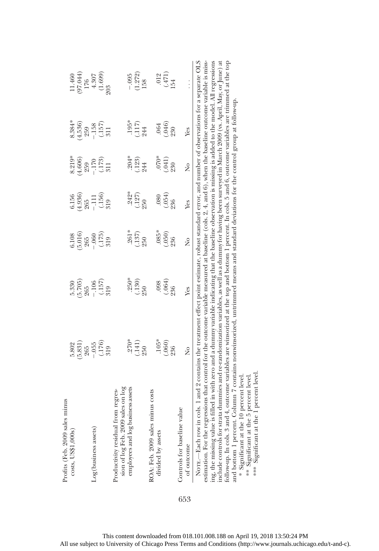| minus<br>Profits (Feb. 2009 sales                                                                                                                                                                                                                                                                                                                                                                                                                                                                                                                                                                                                                                                                                                         |                                                                                                                                                                                                                                                    |                                                                                      |                                                                             |                                                                                |                                                                                  |                                                                                      |                                                                                         |
|-------------------------------------------------------------------------------------------------------------------------------------------------------------------------------------------------------------------------------------------------------------------------------------------------------------------------------------------------------------------------------------------------------------------------------------------------------------------------------------------------------------------------------------------------------------------------------------------------------------------------------------------------------------------------------------------------------------------------------------------|----------------------------------------------------------------------------------------------------------------------------------------------------------------------------------------------------------------------------------------------------|--------------------------------------------------------------------------------------|-----------------------------------------------------------------------------|--------------------------------------------------------------------------------|----------------------------------------------------------------------------------|--------------------------------------------------------------------------------------|-----------------------------------------------------------------------------------------|
| costs, US\$1,000s)                                                                                                                                                                                                                                                                                                                                                                                                                                                                                                                                                                                                                                                                                                                        | 5.802                                                                                                                                                                                                                                              |                                                                                      |                                                                             |                                                                                |                                                                                  |                                                                                      |                                                                                         |
|                                                                                                                                                                                                                                                                                                                                                                                                                                                                                                                                                                                                                                                                                                                                           |                                                                                                                                                                                                                                                    | $\begin{array}{r} 5.330 \\ 5.705 \\ 265 \\ -106 \\ \hline (.157) \\ 319 \end{array}$ | $\begin{array}{l} 6.108\\ (5.016)\\ 265\\ -.060\\ (.175)\\ 319 \end{array}$ | $\begin{array}{l} 6.156 \\ (4.936) \\ 265 \\ -111 \\ (156) \\ 519 \end{array}$ | $\begin{array}{l} 8.219* \\ (4.606) \\ 259 \\ -170 \\ (-173) \\ 311 \end{array}$ | $\begin{array}{l} 8.384^{*} \\ (4.536) \\ 259 \\ -158 \\ (-157) \\ -157 \end{array}$ | $\begin{array}{c} 11.460 \\ (97.044) \\ 176 \\ 4.307 \\ (1.699) \\ (1.699) \end{array}$ |
|                                                                                                                                                                                                                                                                                                                                                                                                                                                                                                                                                                                                                                                                                                                                           |                                                                                                                                                                                                                                                    |                                                                                      |                                                                             |                                                                                |                                                                                  |                                                                                      |                                                                                         |
| Log(business assets)                                                                                                                                                                                                                                                                                                                                                                                                                                                                                                                                                                                                                                                                                                                      |                                                                                                                                                                                                                                                    |                                                                                      |                                                                             |                                                                                |                                                                                  |                                                                                      |                                                                                         |
|                                                                                                                                                                                                                                                                                                                                                                                                                                                                                                                                                                                                                                                                                                                                           | $\begin{array}{c} (5.831) \ 265 \ -0.55 \ 176) \ 319 \end{array}$                                                                                                                                                                                  |                                                                                      |                                                                             |                                                                                |                                                                                  |                                                                                      |                                                                                         |
|                                                                                                                                                                                                                                                                                                                                                                                                                                                                                                                                                                                                                                                                                                                                           |                                                                                                                                                                                                                                                    |                                                                                      |                                                                             |                                                                                |                                                                                  |                                                                                      |                                                                                         |
| sion of log Feb. 2009 sales on log<br>Productivity residual from regres-                                                                                                                                                                                                                                                                                                                                                                                                                                                                                                                                                                                                                                                                  |                                                                                                                                                                                                                                                    |                                                                                      |                                                                             |                                                                                |                                                                                  |                                                                                      |                                                                                         |
| employees and log business assets                                                                                                                                                                                                                                                                                                                                                                                                                                                                                                                                                                                                                                                                                                         | $.270*$<br>(.141)<br>250                                                                                                                                                                                                                           | $250*$                                                                               | $.261*$                                                                     | $.242*$<br>$(.127)$<br>$250$                                                   | $\begin{array}{c} 204* \\ (123) \\ 244 \end{array}$                              |                                                                                      |                                                                                         |
|                                                                                                                                                                                                                                                                                                                                                                                                                                                                                                                                                                                                                                                                                                                                           |                                                                                                                                                                                                                                                    | $(0.130)$<br>$250$                                                                   | $(137)$<br>250                                                              |                                                                                |                                                                                  | $195*$<br>$(117)$<br>$244$                                                           | $-0.95$<br>(1.272)<br>158                                                               |
|                                                                                                                                                                                                                                                                                                                                                                                                                                                                                                                                                                                                                                                                                                                                           |                                                                                                                                                                                                                                                    |                                                                                      |                                                                             |                                                                                |                                                                                  |                                                                                      |                                                                                         |
| ROA: Feb. 2009 sales minus costs                                                                                                                                                                                                                                                                                                                                                                                                                                                                                                                                                                                                                                                                                                          |                                                                                                                                                                                                                                                    |                                                                                      |                                                                             |                                                                                |                                                                                  |                                                                                      |                                                                                         |
| divided by assets                                                                                                                                                                                                                                                                                                                                                                                                                                                                                                                                                                                                                                                                                                                         | $.105*$                                                                                                                                                                                                                                            | 0.08                                                                                 |                                                                             | 080                                                                            |                                                                                  | .064                                                                                 |                                                                                         |
|                                                                                                                                                                                                                                                                                                                                                                                                                                                                                                                                                                                                                                                                                                                                           |                                                                                                                                                                                                                                                    |                                                                                      |                                                                             |                                                                                |                                                                                  |                                                                                      |                                                                                         |
|                                                                                                                                                                                                                                                                                                                                                                                                                                                                                                                                                                                                                                                                                                                                           | $(.060)$<br>236                                                                                                                                                                                                                                    | $(.064)$<br>236                                                                      | $.085*$<br>$(.050)$<br>$236$                                                | $(.054)$<br>236                                                                | $.070*$<br>$(.041)$<br>$230$                                                     | $(0.046)$<br>230                                                                     | $\frac{012}{(471)}$<br>154                                                              |
| Controls for baseline value                                                                                                                                                                                                                                                                                                                                                                                                                                                                                                                                                                                                                                                                                                               |                                                                                                                                                                                                                                                    |                                                                                      |                                                                             |                                                                                |                                                                                  |                                                                                      |                                                                                         |
| of outcome                                                                                                                                                                                                                                                                                                                                                                                                                                                                                                                                                                                                                                                                                                                                | ż                                                                                                                                                                                                                                                  | Yes                                                                                  | ž                                                                           | Yes                                                                            | $\frac{1}{2}$                                                                    | Yes                                                                                  |                                                                                         |
| estimation. For the regressions that control for the outcome variable measured at baseline (cols. 2, 4, and 6), when the baseline outcome variable is miss-<br>ing, the missing value is filled in with zero and a dummy variable indicating that the baseline observation is missing is added to the model. All regressions<br>include controls for strata dummies and re-randomization variabl<br>NOTE--Each row in cols. 1 and 2 contains the treatment effect point estimate, robust standard error, and number of observations for a separate OLS<br>*** Significant at the 1 percent level<br>* Significant at the 10 percent level<br>*** Significant at the 5 percent level<br>collow-up. In cols. 3 and<br>and bottom 1 percent. | $4$ , outcome variables are winsorized at the top and bottom 1 percent. In cols. 5 and 6, outcome variables are trimmed at the top<br>Column 7 contains nonwinsorized, untrimmed means and standard deviations for the control group at follow-up. |                                                                                      |                                                                             |                                                                                |                                                                                  |                                                                                      |                                                                                         |

|                                       |                             | $\sum_{i=1}^{n}$      |
|---------------------------------------|-----------------------------|-----------------------|
|                                       |                             |                       |
| is en                                 |                             |                       |
|                                       |                             |                       |
|                                       |                             |                       |
|                                       |                             |                       |
| ی متحالا                              | litcome variables are trimi | $C++C++C++C$          |
|                                       |                             |                       |
|                                       |                             |                       |
|                                       |                             |                       |
|                                       |                             | $\overline{ }$        |
|                                       |                             |                       |
|                                       |                             |                       |
| i                                     |                             |                       |
|                                       |                             |                       |
|                                       |                             |                       |
|                                       |                             |                       |
|                                       |                             | i                     |
|                                       |                             | $\sim$ and the $\sim$ |
|                                       |                             |                       |
|                                       |                             |                       |
|                                       |                             |                       |
|                                       |                             |                       |
|                                       |                             |                       |
|                                       |                             |                       |
|                                       |                             |                       |
|                                       |                             |                       |
|                                       |                             |                       |
| A CAR CHANNAIR CLOSE                  |                             |                       |
|                                       | $\sim$ 0.010, 0.1 $\sim$    | i constanti           |
|                                       |                             |                       |
|                                       |                             |                       |
|                                       |                             |                       |
| $n + 1$                               | bercent. In cols. 5 ar      | ndaru deviat          |
|                                       |                             |                       |
|                                       |                             |                       |
|                                       |                             | ans and sta           |
|                                       |                             |                       |
|                                       |                             |                       |
|                                       |                             |                       |
|                                       |                             |                       |
|                                       |                             |                       |
|                                       | nd hottom I                 |                       |
|                                       |                             |                       |
|                                       |                             | meai                  |
|                                       |                             |                       |
|                                       |                             |                       |
|                                       |                             |                       |
| adomization variables, as well as a d |                             |                       |
|                                       |                             |                       |
|                                       |                             | '7ed. untrumu         |
|                                       |                             |                       |
|                                       |                             |                       |
|                                       |                             |                       |
|                                       |                             |                       |
|                                       |                             |                       |
|                                       |                             |                       |
|                                       |                             |                       |
|                                       |                             |                       |
|                                       |                             | e<br>Co               |
|                                       |                             |                       |
|                                       |                             |                       |
|                                       |                             |                       |
|                                       |                             |                       |
|                                       |                             |                       |
|                                       | iables are winsomzed at     |                       |
|                                       |                             |                       |
|                                       | auuau                       |                       |
|                                       |                             |                       |
|                                       |                             |                       |
|                                       |                             |                       |
|                                       | ſ,                          |                       |
|                                       |                             |                       |
|                                       |                             |                       |
|                                       | 5                           |                       |
|                                       |                             |                       |
|                                       |                             |                       |
|                                       |                             |                       |
| strata dummies and re-rang            |                             |                       |
|                                       |                             |                       |
|                                       |                             |                       |
|                                       |                             |                       |
|                                       |                             | こうくうこく                |
|                                       |                             |                       |
|                                       |                             |                       |
|                                       |                             |                       |
|                                       |                             |                       |
|                                       | ּ<br>;                      |                       |
|                                       |                             |                       |
|                                       |                             |                       |
|                                       |                             |                       |
| へんさんかく                                |                             |                       |
|                                       |                             |                       |
| mclud                                 | $+$ $-$                     |                       |
|                                       |                             |                       |
|                                       |                             |                       |
|                                       |                             | i                     |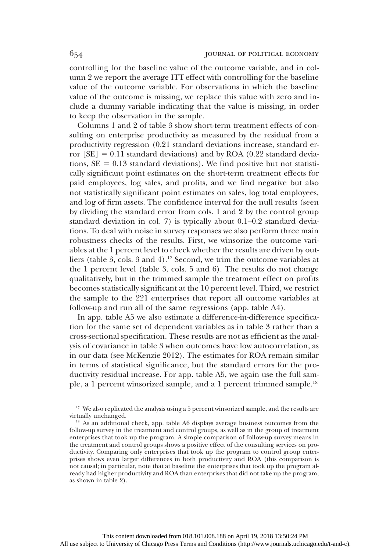controlling for the baseline value of the outcome variable, and in column 2 we report the average ITT effect with controlling for the baseline value of the outcome variable. For observations in which the baseline value of the outcome is missing, we replace this value with zero and include a dummy variable indicating that the value is missing, in order to keep the observation in the sample.

Columns 1 and 2 of table 3 show short-term treatment effects of consulting on enterprise productivity as measured by the residual from a productivity regression (0.21 standard deviations increase, standard error  $[SE] = 0.11$  standard deviations) and by ROA (0.22 standard deviations,  $SE = 0.13$  standard deviations). We find positive but not statistically significant point estimates on the short-term treatment effects for paid employees, log sales, and profits, and we find negative but also not statistically significant point estimates on sales, log total employees, and log of firm assets. The confidence interval for the null results (seen by dividing the standard error from cols. 1 and 2 by the control group standard deviation in col. 7) is typically about 0.1–0.2 standard deviations. To deal with noise in survey responses we also perform three main robustness checks of the results. First, we winsorize the outcome variables at the 1 percent level to check whether the results are driven by outliers (table 3, cols. 3 and 4).17 Second, we trim the outcome variables at the 1 percent level (table 3, cols. 5 and 6). The results do not change qualitatively, but in the trimmed sample the treatment effect on profits becomes statistically significant at the 10 percent level. Third, we restrict the sample to the 221 enterprises that report all outcome variables at follow-up and run all of the same regressions (app. table A4).

In app. table A5 we also estimate a difference-in-difference specification for the same set of dependent variables as in table 3 rather than a cross-sectional specification. These results are not as efficient as the analysis of covariance in table 3 when outcomes have low autocorrelation, as in our data (see McKenzie 2012). The estimates for ROA remain similar in terms of statistical significance, but the standard errors for the productivity residual increase. For app. table A5, we again use the full sample, a 1 percent winsorized sample, and a 1 percent trimmed sample.<sup>18</sup>

<sup>17</sup> We also replicated the analysis using a 5 percent winsorized sample, and the results are virtually unchanged.

<sup>18</sup> As an additional check, app. table A6 displays average business outcomes from the follow-up survey in the treatment and control groups, as well as in the group of treatment enterprises that took up the program. A simple comparison of follow-up survey means in the treatment and control groups shows a positive effect of the consulting services on productivity. Comparing only enterprises that took up the program to control group enterprises shows even larger differences in both productivity and ROA (this comparison is not causal; in particular, note that at baseline the enterprises that took up the program already had higher productivity and ROA than enterprises that did not take up the program, as shown in table 2).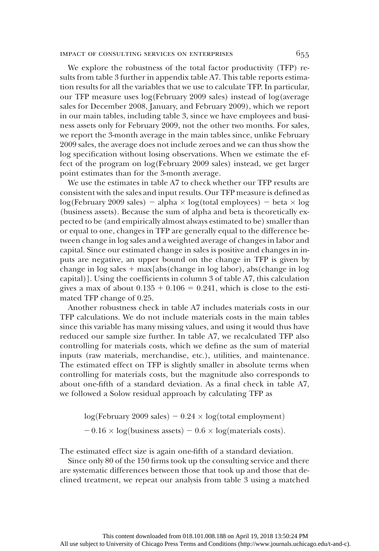### impact of consulting services on enterprises 655

We explore the robustness of the total factor productivity (TFP) results from table 3 further in appendix table A7. This table reports estimation results for all the variables that we use to calculate TFP. In particular, our TFP measure uses log(February 2009 sales) instead of log(average sales for December 2008, January, and February 2009), which we report in our main tables, including table 3, since we have employees and business assets only for February 2009, not the other two months. For sales, we report the 3-month average in the main tables since, unlike February 2009 sales, the average does not include zeroes and we can thus show the log specification without losing observations. When we estimate the effect of the program on log(February 2009 sales) instead, we get larger point estimates than for the 3-month average.

We use the estimates in table A7 to check whether our TFP results are consistent with the sales and input results. Our TFP measure is defined as  $log(February 2009 sales)$  – alpha  $\times log(total employees)$  – beta  $\times log$ (business assets). Because the sum of alpha and beta is theoretically expected to be (and empirically almost always estimated to be) smaller than or equal to one, changes in TFP are generally equal to the difference between change in log sales and a weighted average of changes in labor and capital. Since our estimated change in sales is positive and changes in inputs are negative, an upper bound on the change in TFP is given by change in  $log$  sales  $+$  max $[abs(change in log labor), abs(change in log$ capital)]. Using the coefficients in column 3 of table A7, this calculation gives a max of about  $0.135 + 0.106 = 0.241$ , which is close to the estimated TFP change of 0.25.

Another robustness check in table A7 includes materials costs in our TFP calculations. We do not include materials costs in the main tables since this variable has many missing values, and using it would thus have reduced our sample size further. In table A7, we recalculated TFP also controlling for materials costs, which we define as the sum of material inputs (raw materials, merchandise, etc.), utilities, and maintenance. The estimated effect on TFP is slightly smaller in absolute terms when controlling for materials costs, but the magnitude also corresponds to about one-fifth of a standard deviation. As a final check in table A7, we followed a Solow residual approach by calculating TFP as

 $log(February 2009 sales) - 0.24 \times log(total employment)$  $-0.16 \times \log(\text{business assets}) - 0.6 \times \log(\text{materials costs}).$ 

The estimated effect size is again one-fifth of a standard deviation.

Since only 80 of the 150 firms took up the consulting service and there are systematic differences between those that took up and those that declined treatment, we repeat our analysis from table 3 using a matched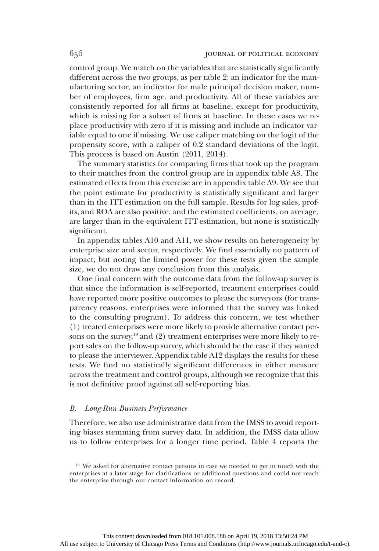control group. We match on the variables that are statistically significantly different across the two groups, as per table 2: an indicator for the manufacturing sector, an indicator for male principal decision maker, number of employees, firm age, and productivity. All of these variables are consistently reported for all firms at baseline, except for productivity, which is missing for a subset of firms at baseline. In these cases we replace productivity with zero if it is missing and include an indicator variable equal to one if missing. We use caliper matching on the logit of the propensity score, with a caliper of 0.2 standard deviations of the logit. This process is based on Austin (2011, 2014).

The summary statistics for comparing firms that took up the program to their matches from the control group are in appendix table A8. The estimated effects from this exercise are in appendix table A9. We see that the point estimate for productivity is statistically significant and larger than in the ITT estimation on the full sample. Results for log sales, profits, and ROA are also positive, and the estimated coefficients, on average, are larger than in the equivalent ITT estimation, but none is statistically significant.

In appendix tables A10 and A11, we show results on heterogeneity by enterprise size and sector, respectively. We find essentially no pattern of impact; but noting the limited power for these tests given the sample size, we do not draw any conclusion from this analysis.

One final concern with the outcome data from the follow-up survey is that since the information is self-reported, treatment enterprises could have reported more positive outcomes to please the surveyors (for transparency reasons, enterprises were informed that the survey was linked to the consulting program). To address this concern, we test whether (1) treated enterprises were more likely to provide alternative contact persons on the survey, $19$  and (2) treatment enterprises were more likely to report sales on the follow-up survey, which should be the case if they wanted to please the interviewer. Appendix table A12 displays the results for these tests. We find no statistically significant differences in either measure across the treatment and control groups, although we recognize that this is not definitive proof against all self-reporting bias.

# B. Long-Run Business Performance

Therefore, we also use administrative data from the IMSS to avoid reporting biases stemming from survey data. In addition, the IMSS data allow us to follow enterprises for a longer time period. Table 4 reports the

<sup>&</sup>lt;sup>19</sup> We asked for alternative contact persons in case we needed to get in touch with the enterprises at a later stage for clarifications or additional questions and could not reach the enterprise through our contact information on record.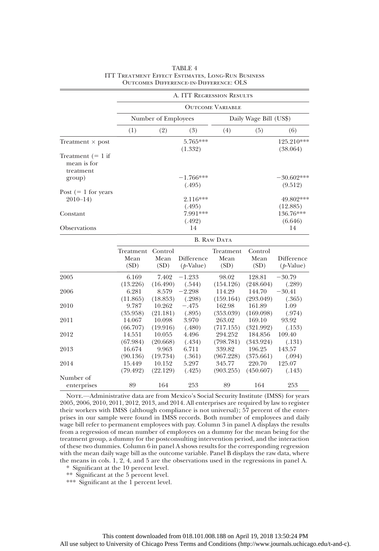|                                                 |                           |                         | <b>A. ITT REGRESSION RESULTS</b> |                           |                         |                                  |
|-------------------------------------------------|---------------------------|-------------------------|----------------------------------|---------------------------|-------------------------|----------------------------------|
|                                                 |                           |                         |                                  | <b>OUTCOME VARIABLE</b>   |                         |                                  |
|                                                 |                           | Number of Employees     |                                  |                           | Daily Wage Bill (US\$)  |                                  |
|                                                 | (1)                       | (2)                     | (3)                              | (4)                       | (5)                     | (6)                              |
| Treatment $\times$ post                         |                           |                         | 5.765***<br>(1.332)              |                           |                         | 125.210***<br>(38.064)           |
| Treatment $(= 1$ if<br>mean is for<br>treatment |                           |                         |                                  |                           |                         |                                  |
| group)                                          |                           |                         | $-1.766***$<br>(.495)            |                           |                         | $-30.602***$<br>(9.512)          |
| Post $(= 1$ for years<br>$2010 - 14$            |                           |                         | 2.116***                         |                           |                         | 49.802***<br>(12.885)            |
| Constant                                        |                           |                         | (.495)<br>7.991***<br>(.492)     |                           |                         | 136.76***<br>(6.646)             |
| Observations                                    |                           |                         | 14                               |                           |                         | 14                               |
|                                                 | <b>B.</b> RAW DATA        |                         |                                  |                           |                         |                                  |
|                                                 | Treatment<br>Mean<br>(SD) | Control<br>Mean<br>(SD) | Difference<br>$(p\text{-Value})$ | Treatment<br>Mean<br>(SD) | Control<br>Mean<br>(SD) | Difference<br>$(p\text{-Value})$ |
| 2005                                            | 6.169<br>(13.226)         | 7.402<br>(16.490)       | $-1.233$<br>(.544)               | 98.02<br>(154.126)        | 128.81<br>(248.604)     | $-30.79$<br>(.289)               |
| 2006                                            | 6.281<br>(11.865)         | 8.579<br>(18.853)       | $-2.298$<br>(.298)               | 114.29<br>(159.164)       | 144.70<br>(293.049)     | $-30.41$<br>(.365)               |
| 2010                                            | 9.787<br>(35.958)         | 10.262<br>(21.181)      | $-.475$<br>(.895)                | 162.98<br>(353.039)       | 161.89<br>(169.098)     | 1.09<br>(.974)                   |
| 2011                                            | 14.067<br>(66.707)        | 10.098<br>(19.916)      | 3.970<br>(.480)                  | 263.02<br>(717.155)       | 169.10<br>(321.992)     | 93.92<br>(.153)                  |
| 2012                                            | 14.551<br>(67.984)        | 10.055<br>(20.668)      | 4.496<br>(.434)                  | 294.252<br>(798.781)      | 184.856<br>(343.924)    | 109.40<br>(.131)                 |
| 2013                                            | 16.674<br>(90.136)        | 9.963<br>(19.734)       | 6.711<br>(.361)                  | 339.82<br>(967.228)       | 196.25<br>(375.661)     | 143.57<br>(.094)                 |
| 2014                                            | 15.449<br>(79.492)        | 10.152<br>(22.129)      | 5.297<br>(.425)                  | 345.77<br>(903.255)       | 220.70<br>(450.607)     | 125.07<br>(.143)                 |
| Number of<br>enterprises                        | 89                        | 164                     | 253                              | 89                        | 164                     | 253                              |

TABLE 4 ITT TREATMENT EFFECT ESTIMATES, LONG-RUN BUSINESS Outcomes Difference-in-Difference: OLS

NOTE.—Administrative data are from Mexico's Social Security Institute (IMSS) for years 2005, 2006, 2010, 2011, 2012, 2013, and 2014. All enterprises are required by law to register their workers with IMSS (although compliance is not universal); 57 percent of the enterprises in our sample were found in IMSS records. Both number of employees and daily wage bill refer to permanent employees with pay. Column 3 in panel A displays the results from a regression of mean number of employees on a dummy for the mean being for the treatment group, a dummy for the postconsulting intervention period, and the interaction of these two dummies. Column 6 in panel A shows results for the corresponding regression with the mean daily wage bill as the outcome variable. Panel B displays the raw data, where the means in cols. 1, 2, 4, and 5 are the observations used in the regressions in panel A.

\* Significant at the 10 percent level.

\*\* Significant at the 5 percent level.

\*\*\* Significant at the 1 percent level.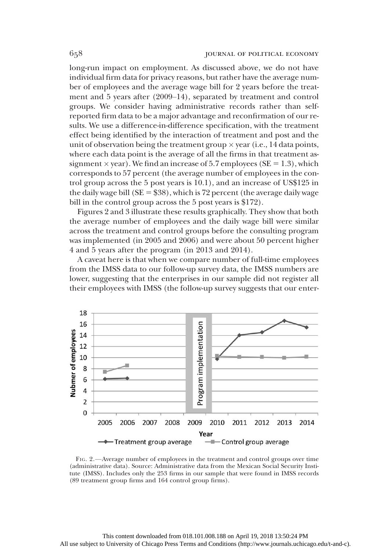long-run impact on employment. As discussed above, we do not have individual firm data for privacy reasons, but rather have the average number of employees and the average wage bill for 2 years before the treatment and 5 years after (2009–14), separated by treatment and control groups. We consider having administrative records rather than selfreported firm data to be a major advantage and reconfirmation of our results. We use a difference-in-difference specification, with the treatment effect being identified by the interaction of treatment and post and the unit of observation being the treatment group  $\times$  year (i.e., 14 data points, where each data point is the average of all the firms in that treatment assignment  $\times$  year). We find an increase of 5.7 employees (SE = 1.3), which corresponds to 57 percent (the average number of employees in the control group across the 5 post years is 10.1), and an increase of US\$125 in the daily wage bill ( $SE = $38$ ), which is 72 percent (the average daily wage bill in the control group across the 5 post years is \$172).

Figures 2 and 3 illustrate these results graphically. They show that both the average number of employees and the daily wage bill were similar across the treatment and control groups before the consulting program was implemented (in 2005 and 2006) and were about 50 percent higher 4 and 5 years after the program (in 2013 and 2014).

A caveat here is that when we compare number of full-time employees from the IMSS data to our follow-up survey data, the IMSS numbers are lower, suggesting that the enterprises in our sample did not register all their employees with IMSS (the follow-up survey suggests that our enter-



FIG. 2.—Average number of employees in the treatment and control groups over time (administrative data). Source: Administrative data from the Mexican Social Security Institute (IMSS). Includes only the 253 firms in our sample that were found in IMSS records (89 treatment group firms and 164 control group firms).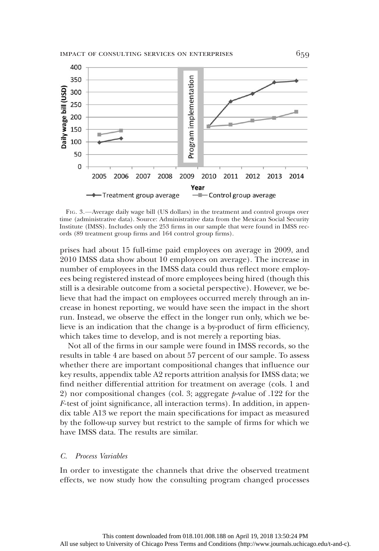

FIG. 3.—Average daily wage bill (US dollars) in the treatment and control groups over time (administrative data). Source: Administrative data from the Mexican Social Security Institute (IMSS). Includes only the 253 firms in our sample that were found in IMSS records (89 treatment group firms and 164 control group firms).

prises had about 15 full-time paid employees on average in 2009, and 2010 IMSS data show about 10 employees on average). The increase in number of employees in the IMSS data could thus reflect more employees being registered instead of more employees being hired (though this still is a desirable outcome from a societal perspective). However, we believe that had the impact on employees occurred merely through an increase in honest reporting, we would have seen the impact in the short run. Instead, we observe the effect in the longer run only, which we believe is an indication that the change is a by-product of firm efficiency, which takes time to develop, and is not merely a reporting bias.

Not all of the firms in our sample were found in IMSS records, so the results in table 4 are based on about 57 percent of our sample. To assess whether there are important compositional changes that influence our key results, appendix table A2 reports attrition analysis for IMSS data; we find neither differential attrition for treatment on average (cols. 1 and 2) nor compositional changes (col. 3; aggregate p-value of .122 for the F-test of joint significance, all interaction terms). In addition, in appendix table A13 we report the main specifications for impact as measured by the follow-up survey but restrict to the sample of firms for which we have IMSS data. The results are similar.

# C. Process Variables

In order to investigate the channels that drive the observed treatment effects, we now study how the consulting program changed processes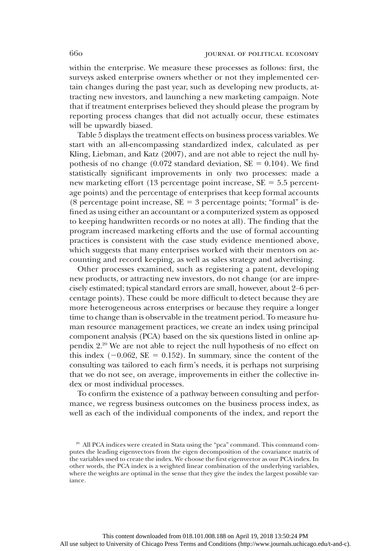within the enterprise. We measure these processes as follows: first, the surveys asked enterprise owners whether or not they implemented certain changes during the past year, such as developing new products, attracting new investors, and launching a new marketing campaign. Note that if treatment enterprises believed they should please the program by reporting process changes that did not actually occur, these estimates will be upwardly biased.

Table 5 displays the treatment effects on business process variables. We start with an all-encompassing standardized index, calculated as per Kling, Liebman, and Katz (2007), and are not able to reject the null hypothesis of no change (0.072 standard deviation,  $SE = 0.104$ ). We find statistically significant improvements in only two processes: made a new marketing effort (13 percentage point increase,  $SE = 5.5$  percentage points) and the percentage of enterprises that keep formal accounts (8 percentage point increase,  $SE = 3$  percentage points; "formal" is defined as using either an accountant or a computerized system as opposed to keeping handwritten records or no notes at all). The finding that the program increased marketing efforts and the use of formal accounting practices is consistent with the case study evidence mentioned above, which suggests that many enterprises worked with their mentors on accounting and record keeping, as well as sales strategy and advertising.

Other processes examined, such as registering a patent, developing new products, or attracting new investors, do not change (or are imprecisely estimated; typical standard errors are small, however, about 2–6 percentage points). These could be more difficult to detect because they are more heterogeneous across enterprises or because they require a longer time to change than is observable in the treatment period. To measure human resource management practices, we create an index using principal component analysis (PCA) based on the six questions listed in online appendix 2.20 We are not able to reject the null hypothesis of no effect on this index  $(-0.062, SE = 0.152)$ . In summary, since the content of the consulting was tailored to each firm's needs, it is perhaps not surprising that we do not see, on average, improvements in either the collective index or most individual processes.

To confirm the existence of a pathway between consulting and performance, we regress business outcomes on the business process index, as well as each of the individual components of the index, and report the

<sup>&</sup>lt;sup>20</sup> All PCA indices were created in Stata using the "pca" command. This command computes the leading eigenvectors from the eigen decomposition of the covariance matrix of the variables used to create the index. We choose the first eigenvector as our PCA index. In other words, the PCA index is a weighted linear combination of the underlying variables, where the weights are optimal in the sense that they give the index the largest possible variance.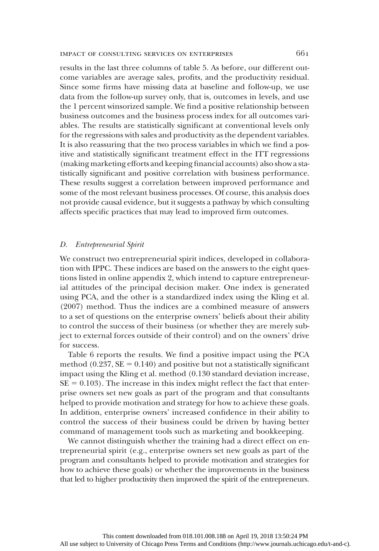results in the last three columns of table 5. As before, our different outcome variables are average sales, profits, and the productivity residual. Since some firms have missing data at baseline and follow-up, we use data from the follow-up survey only, that is, outcomes in levels, and use the 1 percent winsorized sample. We find a positive relationship between business outcomes and the business process index for all outcomes variables. The results are statistically significant at conventional levels only for the regressions with sales and productivity as the dependent variables. It is also reassuring that the two process variables in which we find a positive and statistically significant treatment effect in the ITT regressions (making marketing efforts and keeping financial accounts) also show a statistically significant and positive correlation with business performance. These results suggest a correlation between improved performance and some of the most relevant business processes. Of course, this analysis does not provide causal evidence, but it suggests a pathway by which consulting affects specific practices that may lead to improved firm outcomes.

# D. Entrepreneurial Spirit

We construct two entrepreneurial spirit indices, developed in collaboration with IPPC. These indices are based on the answers to the eight questions listed in online appendix 2, which intend to capture entrepreneurial attitudes of the principal decision maker. One index is generated using PCA, and the other is a standardized index using the Kling et al. (2007) method. Thus the indices are a combined measure of answers to a set of questions on the enterprise owners' beliefs about their ability to control the success of their business (or whether they are merely subject to external forces outside of their control) and on the owners' drive for success.

Table 6 reports the results. We find a positive impact using the PCA method (0.237,  $SE = 0.140$ ) and positive but not a statistically significant impact using the Kling et al. method (0.130 standard deviation increase,  $SE = 0.103$ . The increase in this index might reflect the fact that enterprise owners set new goals as part of the program and that consultants helped to provide motivation and strategy for how to achieve these goals. In addition, enterprise owners' increased confidence in their ability to control the success of their business could be driven by having better command of management tools such as marketing and bookkeeping.

We cannot distinguish whether the training had a direct effect on entrepreneurial spirit (e.g., enterprise owners set new goals as part of the program and consultants helped to provide motivation and strategies for how to achieve these goals) or whether the improvements in the business that led to higher productivity then improved the spirit of the entrepreneurs.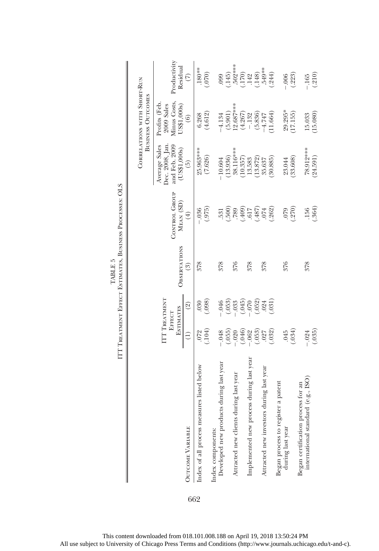|                                                              |               |                                                    |                     |                            |                                                                   | CORRELATIONS WITH SHORT-RUN<br><b>BUSINESS OUTCOMES</b>          |                           |
|--------------------------------------------------------------|---------------|----------------------------------------------------|---------------------|----------------------------|-------------------------------------------------------------------|------------------------------------------------------------------|---------------------------|
|                                                              |               | <b>TTT</b> TREATMENT<br><b>ESTIMATES</b><br>EFFECT | <b>OBSERVATIONS</b> | CONTROL GROUP<br>Mean (SD) | Dec. 2008, Jan.<br>Average Sales<br>and Feb. 2009<br>(US\$1,000s) | <b>Minus</b> Costs<br>Profits (Feb.<br>2009 Sales<br>JS\$1,000s) | Productivity<br>Residual  |
| <b>OUTCOME VARIABLE</b>                                      | $\widehat{E}$ | $\widehat{2}$                                      | $\binom{3}{2}$      | $\left( 4\right)$          | $\widetilde{\Theta}$                                              | $\widehat{\circ}$                                                | $\widehat{C}$             |
| Index of all process measures listed below                   | (.104)<br>072 | (.098)<br>030                                      | 878                 | (.975)<br>.036             | 25.963***<br>(7.626)                                              | (4.612)<br>6.268                                                 | $180**$<br>(070)          |
|                                                              |               |                                                    |                     |                            |                                                                   |                                                                  |                           |
| Index components:<br>Developed new products during last year | $-048$        |                                                    | 878                 | 531                        | 10.604                                                            | $-4.134$                                                         | 099                       |
|                                                              | (.055)        | (0.053)                                            |                     | (005.                      | (13.936)                                                          | (5.901)                                                          | .145)                     |
| Attracted new clients during last year                       | $-.020$       | $-0.33$                                            | 376                 | 789                        | 38.116***                                                         | $12.687***$                                                      | .502***<br>(.170)<br>.142 |
|                                                              | (.046)        |                                                    |                     | (.409)                     | 10.357                                                            | (4.267)                                                          |                           |
| Implemented new process during last year                     | $-.062$       | $(0.045)$<br>- 070                                 | 878                 | $617$                      | 13.583                                                            | $-.132$                                                          |                           |
|                                                              | (.053)        | $(052)$<br>$024$                                   |                     | $(187)$<br>$(184)$         | 13.872)                                                           | (5.836)                                                          | $(.148)$<br>$.549**$      |
| Attracted new investors during last year                     | .027          |                                                    | 878                 |                            | 35.637                                                            | $-4.747$                                                         |                           |
|                                                              | (.032)        | (.031)                                             |                     | (.262)                     | (30.885)                                                          | 11.664)                                                          | (.244)                    |
|                                                              |               |                                                    |                     |                            |                                                                   |                                                                  |                           |
| Began process to register a patent<br>during last year       | .045          |                                                    | 376                 | 079                        | 23.044                                                            | 29.295*                                                          | .006                      |
|                                                              | (.034)        |                                                    |                     | (.270)                     | (33.608)                                                          | 17.155)                                                          | (.223)                    |
| Began certification process for an                           |               |                                                    |                     |                            |                                                                   |                                                                  |                           |
| international standard (e.g., ISO)                           | $-.024$       |                                                    | 878                 | .156                       | 78.912***                                                         | 15.033                                                           | $-.165$                   |
|                                                              | (.035)        |                                                    |                     | (.364)                     | (24.591)                                                          | (15.080)                                                         | (.210)                    |

ITT TREATMENT EFFECT ESTIMATES, BUSINESS PROCESSES: OLS ITT Treatment Effect Estimates, Business Processes: OLS TABLE  $5$ TABLE 5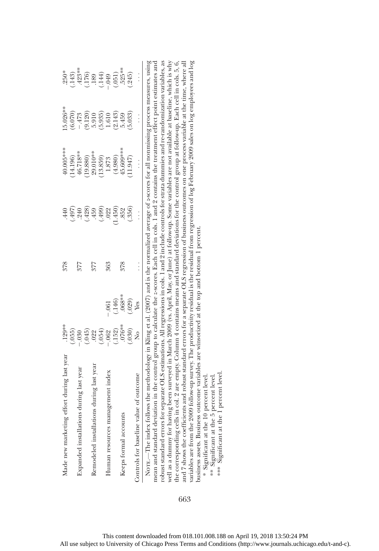| effort during last year<br>Made new marketing                                                                                                                                                                                                                                                                                   | .129**              |                   | 878        | .440                 | 40.005*** | 15.026**             | $.250*$                                  |
|---------------------------------------------------------------------------------------------------------------------------------------------------------------------------------------------------------------------------------------------------------------------------------------------------------------------------------|---------------------|-------------------|------------|----------------------|-----------|----------------------|------------------------------------------|
|                                                                                                                                                                                                                                                                                                                                 |                     |                   |            | (165)                | 14.196)   | (6.070)              | .143)                                    |
| Expanded installations during last year                                                                                                                                                                                                                                                                                         | $(.055)$<br>$-.030$ |                   | 377        | .240                 | 46.718**  | $-.473$              | $.423**$                                 |
|                                                                                                                                                                                                                                                                                                                                 | $(.045)$<br>$.022$  |                   |            | (428)                | 19.880)   | $(9.120)$<br>$5.910$ |                                          |
| Remodeled installations during last year                                                                                                                                                                                                                                                                                        |                     |                   | 377        | .459                 | 29.010**  |                      |                                          |
|                                                                                                                                                                                                                                                                                                                                 | $(.054)$<br>$-.062$ |                   |            | (.499)               | 13.859    | $(5.935)$<br>1.610   | $(176)$<br>$(144)$<br>$(144)$<br>$(149)$ |
| Human resources management index                                                                                                                                                                                                                                                                                                |                     | $-0.061$          | 363        | .022                 | 1.873     |                      |                                          |
|                                                                                                                                                                                                                                                                                                                                 | (.152)              | .146)             |            | 1.450)               | (4.980)   | (2.143)              | (.051)                                   |
| Keeps formal accounts                                                                                                                                                                                                                                                                                                           | .076**              | .068**            | 878        | .852                 | 45.609*** | 5.459                | .525**                                   |
|                                                                                                                                                                                                                                                                                                                                 | $\frac{030}{NQ}$    | $\frac{029}{Yes}$ |            | .356)                | (1.947)   | (5.033)              | .245)                                    |
| Controls for baseline value of outcome                                                                                                                                                                                                                                                                                          |                     |                   |            |                      |           |                      |                                          |
| NOTE.—The index follows the methodology in Kling et al. (2007) and is the normalized average of 2scores for all nonmissing process measures, using<br>mean and standard deviation in the control group to calculate the z-scores. Each cell in cols. 1 and 2 contains the treatment effect point estimates and<br>$\frac{1}{2}$ |                     |                   | $\ddot{a}$ | $\ddot{\phantom{0}}$ |           |                      |                                          |

robust standard errors for separate OLS estimations. All regressions in cols. 1 and 2 include controls for strata dummies and re-randomization variables, as well as a dummy for having been surveyed in March 2009 (vs. April, May, or June) at follow-up. Some variables are not available at baseline, which is why the corresponding cells in col. 2 are empty. Column 4 contains means and standard deviations for the control group at follow-up. Each cell in cols. 5, 6, and 7 shows the coefficients and robust standard errors for a separate OLS regression of business outcomes on one process variable at the time, where all variables are from the 2009 follow-up survey. The productivity residual is the residual from regression of log February 2009 sales on log employees and log robust standard errors for separate OLS estimations. All regressions in cols. 1 and 2 include controls for strata dummies and re-randomization variables, as well as a dummy for having been surveyed in March 2009 (vs. April, May, or June) at follow-up. Some variables are not available at baseline, which is why and 7 shows the coefficients and robust standard errors for a separate OLS regression of business outcomes on one process variable at the time, where all variables are from the 2009 follow-up survey. The productivity residual is the residual from regression of log February 2009 sales on log employees and log the corresponding cells in col. 2 are empty. Column 4 contains means and standard deviations for the control group at follow-up. Each cell in cols. 5, 6, business assets. Business outcome variables are winsorized at the top and bottom 1 percent. business assets. Business outcome variables are winsorized at the top and bottom 1 percent.

\* Significant at the 10 percent level. \* Significant at the 10 percent level.

\*\* Significant at the 5 percent level. \*\* Significant at the 5 percent level.

\*\*\* Significant at the I percent level. \*\*\* Significant at the 1 percent level.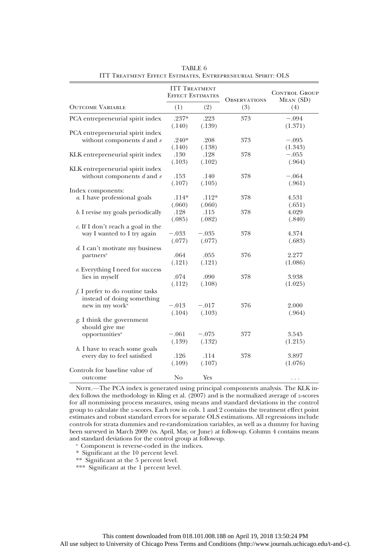|                                                                                              |                   | <b>ITT TREATMENT</b><br><b>EFFECT ESTIMATES</b> | <b>OBSERVATIONS</b> | <b>CONTROL GROUP</b><br>MEAN (SD) |
|----------------------------------------------------------------------------------------------|-------------------|-------------------------------------------------|---------------------|-----------------------------------|
| <b>OUTCOME VARIABLE</b>                                                                      | (1)               | (2)                                             | (3)                 | (4)                               |
| PCA entrepreneurial spirit index                                                             | $.237*$<br>(.140) | .223<br>(.139)                                  | 373                 | $-.094$<br>(1.371)                |
| PCA entrepreneurial spirit index                                                             | $.240*$           | .208                                            | 373                 | $-.095$                           |
| without components $d$ and $e$                                                               | (.140)            | (.138)                                          |                     | (1.343)                           |
| KLK entrepreneurial spirit index                                                             | .130<br>(.103)    | .128<br>(.102)                                  | 378                 | $-.055$<br>(.964)                 |
| KLK entrepreneurial spirit index                                                             | .153              | .140                                            | 378                 | $-.064$                           |
| without components $d$ and $e$                                                               | (.107)            | (.105)                                          |                     | (.961)                            |
| Index components:                                                                            | $.114*$           | $.112*$                                         | 378                 | 4.531                             |
| a. I have professional goals                                                                 | (.060)            | (.060)                                          |                     | (.651)                            |
| b. I revise my goals periodically                                                            | .128<br>(.085)    | .115<br>(.082)                                  | 378                 | 4.029<br>(.840)                   |
| $\epsilon$ . If I don't reach a goal in the                                                  | $-.033$           | $-.035$                                         | 378                 | 4.374                             |
| way I wanted to I try again                                                                  | (.077)            | (.077)                                          |                     | (.683)                            |
| d. I can't motivate my business                                                              | .064              | .055                                            | 376                 | 2.277                             |
| partners <sup>a</sup>                                                                        | (.121)            | (.121)                                          |                     | (1.086)                           |
| e. Everything I need for success                                                             | .074              | .090                                            | 378                 | 3.938                             |
| lies in myself                                                                               | (.112)            | (.108)                                          |                     | (1.025)                           |
| f. I prefer to do routine tasks<br>instead of doing something<br>new in my work <sup>a</sup> | $-.013$           | $-.017$                                         | 376                 | 2.000                             |
| g. I think the government                                                                    | (.104)            | (.103)                                          |                     | (.964)                            |
| should give me                                                                               | $-.061$           | $-.075$                                         | 377                 | 3.545                             |
| opportunities <sup>a</sup>                                                                   | (.139)            | (.132)                                          |                     | (1.215)                           |
| h. I have to reach some goals                                                                | .126              | .114                                            | 378                 | 3.897                             |
| every day to feel satisfied                                                                  | (.109)            | (.107)                                          |                     | (1.076)                           |
| Controls for baseline value of<br>outcome                                                    | No                | Yes                                             |                     | .                                 |

TABLE 6 ITT Treatment Effect Estimates, Entrepreneurial Spirit: OLS

NOTE.—The PCA index is generated using principal components analysis. The KLK index follows the methodology in Kling et al. (2007) and is the normalized average of z-scores for all nonmissing process measures, using means and standard deviations in the control group to calculate the z-scores. Each row in cols. 1 and 2 contains the treatment effect point estimates and robust standard errors for separate OLS estimations. All regressions include controls for strata dummies and re-randomization variables, as well as a dummy for having been surveyed in March 2009 (vs. April, May, or June) at follow-up. Column 4 contains means and standard deviations for the control group at follow-up.

<sup>a</sup> Component is reverse-coded in the indices.

\* Significant at the 10 percent level.

\*\* Significant at the 5 percent level.

\*\*\* Significant at the 1 percent level.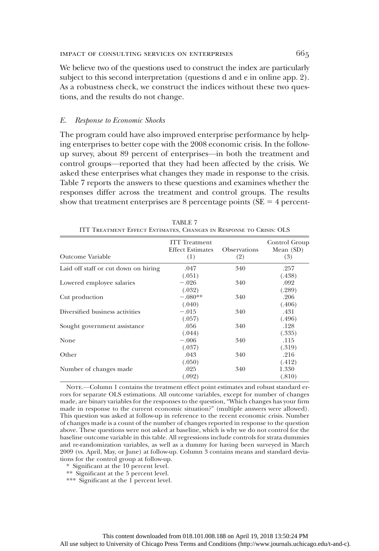We believe two of the questions used to construct the index are particularly subject to this second interpretation (questions d and e in online app. 2). As a robustness check, we construct the indices without these two questions, and the results do not change.

## E. Response to Economic Shocks

The program could have also improved enterprise performance by helping enterprises to better cope with the 2008 economic crisis. In the followup survey, about 89 percent of enterprises—in both the treatment and control groups—reported that they had been affected by the crisis. We asked these enterprises what changes they made in response to the crisis. Table 7 reports the answers to these questions and examines whether the responses differ across the treatment and control groups. The results show that treatment enterprises are 8 percentage points ( $SE = 4$  percent-

| Outcome Variable                     | <b>ITT</b> Treatment<br><b>Effect Estimates</b><br>(1) | <b>Observations</b><br>(2) | Control Group<br>Mean (SD)<br>(3) |
|--------------------------------------|--------------------------------------------------------|----------------------------|-----------------------------------|
| Laid off staff or cut down on hiring | .047                                                   | 340                        | .257                              |
| Lowered employee salaries            | (.051)<br>$-.026$                                      | 340                        | (.438)<br>.092                    |
|                                      | (.032)                                                 |                            | (.289)                            |
| Cut production                       | $-.080**$                                              | 340                        | .206                              |
| Diversified business activities      | (.040)<br>$-.015$<br>(.057)                            | 340                        | (.406)<br>.431<br>(.496)          |
| Sought government assistance         | .056<br>(.044)                                         | 340                        | .128<br>(.335)                    |
| None                                 | $-.006$<br>(.037)                                      | 340                        | .115<br>(.319)                    |
| Other                                | .043<br>(.050)                                         | 340                        | .216<br>(.412)                    |
| Number of changes made               | .025<br>(.092)                                         | 340                        | 1.330<br>(.810)                   |

TABLE 7 ITT Treatment Effect Estimates, Changes in Response to Crisis: OLS

NOTE.—Column 1 contains the treatment effect point estimates and robust standard errors for separate OLS estimations. All outcome variables, except for number of changes made, are binary variables for the responses to the question, "Which changes has your firm made in response to the current economic situation?" (multiple answers were allowed). This question was asked at follow-up in reference to the recent economic crisis. Number of changes made is a count of the number of changes reported in response to the question above. These questions were not asked at baseline, which is why we do not control for the baseline outcome variable in this table. All regressions include controls for strata dummies and re-randomization variables, as well as a dummy for having been surveyed in March 2009 (vs. April, May, or June) at follow-up. Column 3 contains means and standard deviations for the control group at follow-up.

- \* Significant at the 10 percent level.
- \*\* Significant at the 5 percent level.

\*\*\* Significant at the 1 percent level.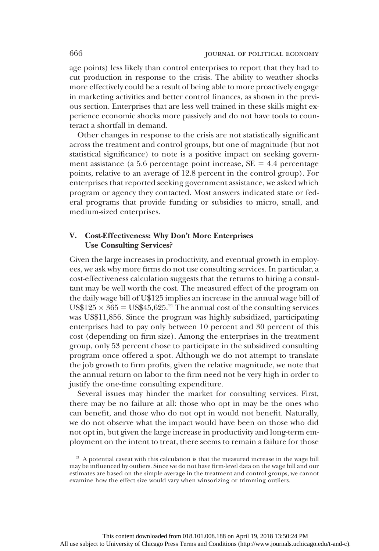age points) less likely than control enterprises to report that they had to cut production in response to the crisis. The ability to weather shocks more effectively could be a result of being able to more proactively engage in marketing activities and better control finances, as shown in the previous section. Enterprises that are less well trained in these skills might experience economic shocks more passively and do not have tools to counteract a shortfall in demand.

Other changes in response to the crisis are not statistically significant across the treatment and control groups, but one of magnitude (but not statistical significance) to note is a positive impact on seeking government assistance (a 5.6 percentage point increase,  $SE = 4.4$  percentage points, relative to an average of 12.8 percent in the control group). For enterprises that reported seeking government assistance, we asked which program or agency they contacted. Most answers indicated state or federal programs that provide funding or subsidies to micro, small, and medium-sized enterprises.

# V. Cost-Effectiveness: Why Don't More Enterprises Use Consulting Services?

Given the large increases in productivity, and eventual growth in employees, we ask why more firms do not use consulting services. In particular, a cost-effectiveness calculation suggests that the returns to hiring a consultant may be well worth the cost. The measured effect of the program on the daily wage bill of U\$125 implies an increase in the annual wage bill of US\$125  $\times$  365 = US\$45,625.<sup>21</sup> The annual cost of the consulting services was US\$11,856. Since the program was highly subsidized, participating enterprises had to pay only between 10 percent and 30 percent of this cost (depending on firm size). Among the enterprises in the treatment group, only 53 percent chose to participate in the subsidized consulting program once offered a spot. Although we do not attempt to translate the job growth to firm profits, given the relative magnitude, we note that the annual return on labor to the firm need not be very high in order to justify the one-time consulting expenditure.

Several issues may hinder the market for consulting services. First, there may be no failure at all: those who opt in may be the ones who can benefit, and those who do not opt in would not benefit. Naturally, we do not observe what the impact would have been on those who did not opt in, but given the large increase in productivity and long-term employment on the intent to treat, there seems to remain a failure for those

<sup>&</sup>lt;sup>21</sup> A potential caveat with this calculation is that the measured increase in the wage bill may be influenced by outliers. Since we do not have firm-level data on the wage bill and our estimates are based on the simple average in the treatment and control groups, we cannot examine how the effect size would vary when winsorizing or trimming outliers.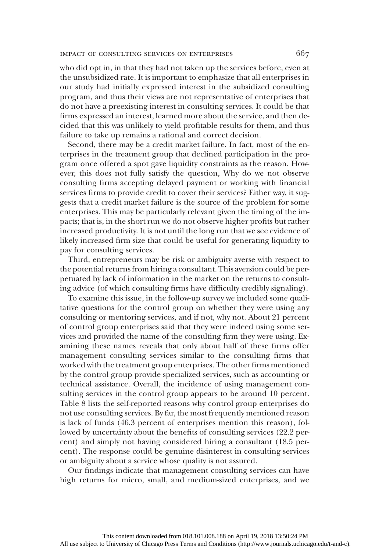who did opt in, in that they had not taken up the services before, even at the unsubsidized rate. It is important to emphasize that all enterprises in our study had initially expressed interest in the subsidized consulting program, and thus their views are not representative of enterprises that do not have a preexisting interest in consulting services. It could be that firms expressed an interest, learned more about the service, and then decided that this was unlikely to yield profitable results for them, and thus failure to take up remains a rational and correct decision.

Second, there may be a credit market failure. In fact, most of the enterprises in the treatment group that declined participation in the program once offered a spot gave liquidity constraints as the reason. However, this does not fully satisfy the question, Why do we not observe consulting firms accepting delayed payment or working with financial services firms to provide credit to cover their services? Either way, it suggests that a credit market failure is the source of the problem for some enterprises. This may be particularly relevant given the timing of the impacts; that is, in the short run we do not observe higher profits but rather increased productivity. It is not until the long run that we see evidence of likely increased firm size that could be useful for generating liquidity to pay for consulting services.

Third, entrepreneurs may be risk or ambiguity averse with respect to the potential returns from hiring a consultant. This aversion could be perpetuated by lack of information in the market on the returns to consulting advice (of which consulting firms have difficulty credibly signaling).

To examine this issue, in the follow-up survey we included some qualitative questions for the control group on whether they were using any consulting or mentoring services, and if not, why not. About 21 percent of control group enterprises said that they were indeed using some services and provided the name of the consulting firm they were using. Examining these names reveals that only about half of these firms offer management consulting services similar to the consulting firms that worked with the treatment group enterprises. The other firms mentioned by the control group provide specialized services, such as accounting or technical assistance. Overall, the incidence of using management consulting services in the control group appears to be around 10 percent. Table 8 lists the self-reported reasons why control group enterprises do not use consulting services. By far, the most frequently mentioned reason is lack of funds (46.3 percent of enterprises mention this reason), followed by uncertainty about the benefits of consulting services (22.2 percent) and simply not having considered hiring a consultant (18.5 percent). The response could be genuine disinterest in consulting services or ambiguity about a service whose quality is not assured.

Our findings indicate that management consulting services can have high returns for micro, small, and medium-sized enterprises, and we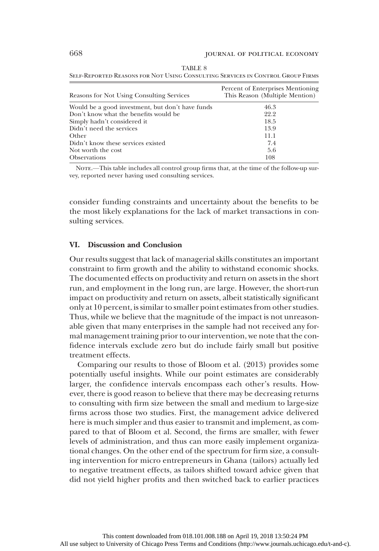| Reasons for Not Using Consulting Services        | Percent of Enterprises Mentioning<br>This Reason (Multiple Mention) |
|--------------------------------------------------|---------------------------------------------------------------------|
| Would be a good investment, but don't have funds | 46.3                                                                |
| Don't know what the benefits would be            | 22.2                                                                |
| Simply hadn't considered it                      | 18.5                                                                |
| Didn't need the services                         | 13.9                                                                |
| Other                                            | 11.1                                                                |
| Didn't know these services existed               | 7.4                                                                 |
| Not worth the cost                               | 5.6                                                                 |
| <b>Observations</b>                              | 108                                                                 |

| TABLE 8                                                                        |  |
|--------------------------------------------------------------------------------|--|
| Self-Reported Reasons for Not Using Consulting Services in Control Group Firms |  |

NOTE.—This table includes all control group firms that, at the time of the follow-up survey, reported never having used consulting services.

consider funding constraints and uncertainty about the benefits to be the most likely explanations for the lack of market transactions in consulting services.

# VI. Discussion and Conclusion

Our results suggest that lack of managerial skills constitutes an important constraint to firm growth and the ability to withstand economic shocks. The documented effects on productivity and return on assets in the short run, and employment in the long run, are large. However, the short-run impact on productivity and return on assets, albeit statistically significant only at 10 percent, is similar to smaller point estimates from other studies. Thus, while we believe that the magnitude of the impact is not unreasonable given that many enterprises in the sample had not received any formal management training prior to our intervention, we note that the confidence intervals exclude zero but do include fairly small but positive treatment effects.

Comparing our results to those of Bloom et al. (2013) provides some potentially useful insights. While our point estimates are considerably larger, the confidence intervals encompass each other's results. However, there is good reason to believe that there may be decreasing returns to consulting with firm size between the small and medium to large-size firms across those two studies. First, the management advice delivered here is much simpler and thus easier to transmit and implement, as compared to that of Bloom et al. Second, the firms are smaller, with fewer levels of administration, and thus can more easily implement organizational changes. On the other end of the spectrum for firm size, a consulting intervention for micro entrepreneurs in Ghana (tailors) actually led to negative treatment effects, as tailors shifted toward advice given that did not yield higher profits and then switched back to earlier practices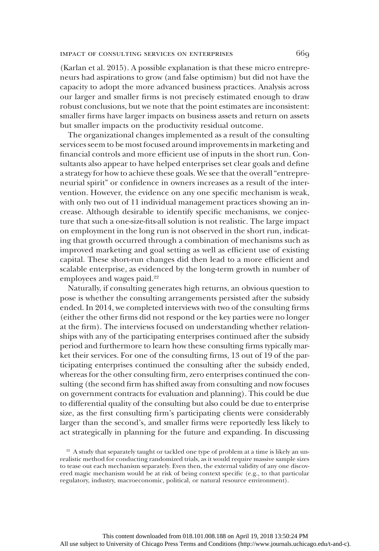(Karlan et al. 2015). A possible explanation is that these micro entrepreneurs had aspirations to grow (and false optimism) but did not have the capacity to adopt the more advanced business practices. Analysis across our larger and smaller firms is not precisely estimated enough to draw robust conclusions, but we note that the point estimates are inconsistent: smaller firms have larger impacts on business assets and return on assets but smaller impacts on the productivity residual outcome.

The organizational changes implemented as a result of the consulting services seem to be most focused around improvements in marketing and financial controls and more efficient use of inputs in the short run. Consultants also appear to have helped enterprises set clear goals and define a strategy for how to achieve these goals. We see that the overall"entrepreneurial spirit" or confidence in owners increases as a result of the intervention. However, the evidence on any one specific mechanism is weak, with only two out of 11 individual management practices showing an increase. Although desirable to identify specific mechanisms, we conjecture that such a one-size-fits-all solution is not realistic. The large impact on employment in the long run is not observed in the short run, indicating that growth occurred through a combination of mechanisms such as improved marketing and goal setting as well as efficient use of existing capital. These short-run changes did then lead to a more efficient and scalable enterprise, as evidenced by the long-term growth in number of employees and wages paid.<sup>22</sup>

Naturally, if consulting generates high returns, an obvious question to pose is whether the consulting arrangements persisted after the subsidy ended. In 2014, we completed interviews with two of the consulting firms (either the other firms did not respond or the key parties were no longer at the firm). The interviews focused on understanding whether relationships with any of the participating enterprises continued after the subsidy period and furthermore to learn how these consulting firms typically market their services. For one of the consulting firms, 13 out of 19 of the participating enterprises continued the consulting after the subsidy ended, whereas for the other consulting firm, zero enterprises continued the consulting (the second firm has shifted away from consulting and now focuses on government contracts for evaluation and planning). This could be due to differential quality of the consulting but also could be due to enterprise size, as the first consulting firm's participating clients were considerably larger than the second's, and smaller firms were reportedly less likely to act strategically in planning for the future and expanding. In discussing

<sup>&</sup>lt;sup>22</sup> A study that separately taught or tackled one type of problem at a time is likely an unrealistic method for conducting randomized trials, as it would require massive sample sizes to tease out each mechanism separately. Even then, the external validity of any one discovered magic mechanism would be at risk of being context specific (e.g., to that particular regulatory, industry, macroeconomic, political, or natural resource environment).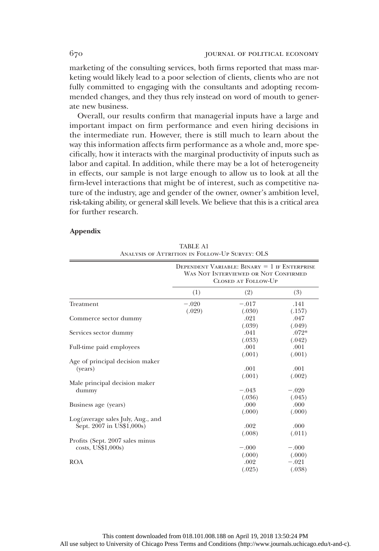marketing of the consulting services, both firms reported that mass marketing would likely lead to a poor selection of clients, clients who are not fully committed to engaging with the consultants and adopting recommended changes, and they thus rely instead on word of mouth to generate new business.

Overall, our results confirm that managerial inputs have a large and important impact on firm performance and even hiring decisions in the intermediate run. However, there is still much to learn about the way this information affects firm performance as a whole and, more specifically, how it interacts with the marginal productivity of inputs such as labor and capital. In addition, while there may be a lot of heterogeneity in effects, our sample is not large enough to allow us to look at all the firm-level interactions that might be of interest, such as competitive nature of the industry, age and gender of the owner, owner's ambition level, risk-taking ability, or general skill levels. We believe that this is a critical area for further research.

# Appendix

|                                                            |                   | DEPENDENT VARIABLE: BINARY = $1$ IF ENTERPRISE<br>WAS NOT INTERVIEWED OR NOT CONFIRMED<br><b>CLOSED AT FOLLOW-UP</b> |                   |
|------------------------------------------------------------|-------------------|----------------------------------------------------------------------------------------------------------------------|-------------------|
|                                                            | (1)               | (2)                                                                                                                  | (3)               |
| Treatment                                                  | $-.020$<br>(.029) | $-.017$<br>(.030)                                                                                                    | .141<br>(.157)    |
| Commerce sector dummy                                      |                   | .021<br>(.039)                                                                                                       | .047<br>(.049)    |
| Services sector dummy                                      |                   | .041<br>(.033)                                                                                                       | $.072*$<br>(.042) |
| Full-time paid employees                                   |                   | .001<br>(.001)                                                                                                       | .001<br>(.001)    |
| Age of principal decision maker                            |                   |                                                                                                                      |                   |
| (years)                                                    |                   | .001<br>(.001)                                                                                                       | .001<br>(.002)    |
| Male principal decision maker<br>dummy                     |                   | $-.043$                                                                                                              | $-.020$           |
| Business age (years)                                       |                   | (.036)<br>.000                                                                                                       | (.045)<br>.000    |
| Log(average sales July, Aug., and                          |                   | (.000)                                                                                                               | (.000)            |
| Sept. 2007 in US\$1,000s)                                  |                   | .002<br>(.008)                                                                                                       | .000<br>(.011)    |
| Profits (Sept. 2007 sales minus<br>$costs$ , $US$1,000s$ ) |                   | $-.000$                                                                                                              | $-.000$           |
|                                                            |                   | (.000)                                                                                                               | (.000)            |
| <b>ROA</b>                                                 |                   | .002<br>(.025)                                                                                                       | $-.021$<br>(.038) |

TABLE A1 Analysis of Attrition in Follow-Up Survey: OLS

This content downloaded from 018.101.008.188 on April 19, 2018 13:50:24 PM All use subject to University of Chicago Press Terms and Conditions (http://www.journals.uchicago.edu/t-and-c).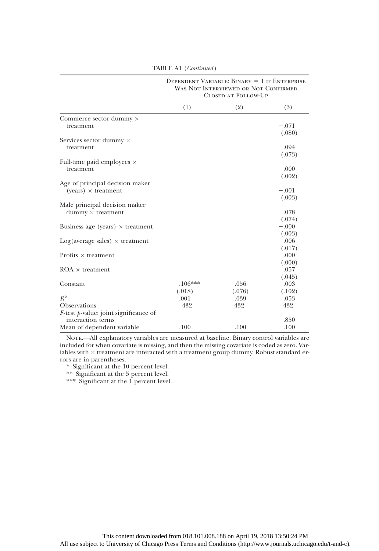|                                             | DEPENDENT VARIABLE: BINARY = $1$ IF ENTERPRISE<br>WAS NOT INTERVIEWED OR NOT CONFIRMED<br><b>CLOSED AT FOLLOW-UP</b> |        |                |
|---------------------------------------------|----------------------------------------------------------------------------------------------------------------------|--------|----------------|
|                                             | (1)                                                                                                                  | (2)    | (3)            |
| Commerce sector dummy $\times$              |                                                                                                                      |        |                |
| treatment                                   |                                                                                                                      |        | $-.071$        |
|                                             |                                                                                                                      |        | (.080)         |
| Services sector dummy $\times$<br>treatment |                                                                                                                      |        | $-.094$        |
|                                             |                                                                                                                      |        | (.073)         |
| Full-time paid employees $\times$           |                                                                                                                      |        |                |
| treatment                                   |                                                                                                                      |        | .000           |
|                                             |                                                                                                                      |        | (.002)         |
| Age of principal decision maker             |                                                                                                                      |        |                |
| $(years) \times treatment$                  |                                                                                                                      |        | $-.001$        |
|                                             |                                                                                                                      |        | (.003)         |
| Male principal decision maker               |                                                                                                                      |        | $-.078$        |
| $dummy \times treatment$                    |                                                                                                                      |        | (.074)         |
| Business age (years) $\times$ treatment     |                                                                                                                      |        | $-.000$        |
|                                             |                                                                                                                      |        | (.003)         |
| $Log(average sales) \times treatment$       |                                                                                                                      |        | .006           |
|                                             |                                                                                                                      |        | (.017)         |
| Profits $\times$ treatment                  |                                                                                                                      |        | $-.000$        |
|                                             |                                                                                                                      |        | (.000)         |
| $ROA \times treatment$                      |                                                                                                                      |        | .057           |
| Constant                                    | $.106***$                                                                                                            | .056   | (.045)<br>.003 |
|                                             | (.018)                                                                                                               | (.076) | (.102)         |
| $R^2$                                       | .001                                                                                                                 | .039   | .053           |
| <b>Observations</b>                         | 432                                                                                                                  | 432    | 432            |
| $F$ -test $p$ -value: joint significance of |                                                                                                                      |        |                |
| interaction terms                           |                                                                                                                      |        | .850           |
| Mean of dependent variable                  | .100                                                                                                                 | .100   | .100           |

TABLE A1 (Continued)

NOTE.--All explanatory variables are measured at baseline. Binary control variables are included for when covariate is missing, and then the missing covariate is coded as zero. Variables with × treatment are interacted with a treatment group dummy. Robust standard er-<br>rors are in parentheses.

\* Significant at the 10 percent level.

\*\* Significant at the 5 percent level.

\*\*\* Significant at the 1 percent level.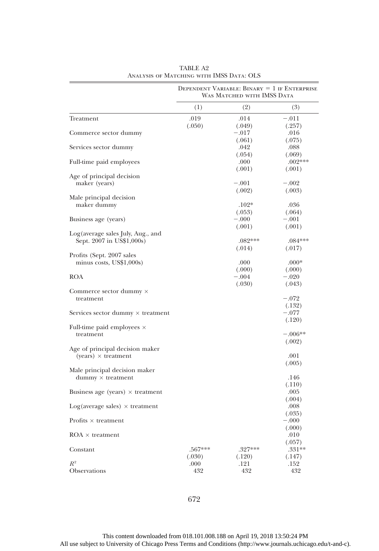|                                          | DEPENDENT VARIABLE: BINARY = $1$ IF ENTERPRISE<br>WAS MATCHED WITH IMSS DATA |           |           |
|------------------------------------------|------------------------------------------------------------------------------|-----------|-----------|
|                                          | (1)                                                                          | (2)       | (3)       |
| Treatment                                | .019                                                                         | .014      | $-.011$   |
|                                          | (.050)                                                                       | (.049)    | (.257)    |
| Commerce sector dummy                    |                                                                              | $-.017$   | .016      |
|                                          |                                                                              | (.061)    | (.075)    |
| Services sector dummy                    |                                                                              | .042      | .088      |
|                                          |                                                                              | (.054)    | (.069)    |
| Full-time paid employees                 |                                                                              | .000      | $.002***$ |
|                                          |                                                                              | (.001)    | (.001)    |
| Age of principal decision                |                                                                              |           |           |
| maker (years)                            |                                                                              | $-.001$   | $-.002$   |
|                                          |                                                                              | (.002)    | (.003)    |
| Male principal decision                  |                                                                              |           |           |
| maker dummy                              |                                                                              | $.102*$   | .036      |
|                                          |                                                                              | (.053)    | (.064)    |
| Business age (years)                     |                                                                              | $-.000$   | $-.001$   |
|                                          |                                                                              | (.001)    | (.001)    |
| Log(average sales July, Aug., and        |                                                                              |           |           |
| Sept. 2007 in US\$1,000s)                |                                                                              | $.082***$ | $.084***$ |
|                                          |                                                                              | (.014)    | (.017)    |
|                                          |                                                                              |           |           |
| Profits (Sept. 2007 sales                |                                                                              | .000      | $.000*$   |
| minus costs, $\text{US}\$1,000s$ )       |                                                                              |           |           |
| <b>ROA</b>                               |                                                                              | (.000)    | (.000)    |
|                                          |                                                                              | $-.004$   | $-.020$   |
|                                          |                                                                              | (.030)    | (.043)    |
| Commerce sector dummy $\times$           |                                                                              |           |           |
| treatment                                |                                                                              |           | $-.072$   |
|                                          |                                                                              |           | (.132)    |
| Services sector dummy $\times$ treatment |                                                                              |           | $-.077$   |
|                                          |                                                                              |           | (.120)    |
| Full-time paid employees $\times$        |                                                                              |           |           |
| treatment                                |                                                                              |           | $-.006**$ |
|                                          |                                                                              |           | (.002)    |
| Age of principal decision maker          |                                                                              |           |           |
| $(years) \times treatment$               |                                                                              |           | .001      |
|                                          |                                                                              |           | (.005)    |
| Male principal decision maker            |                                                                              |           |           |
| $dummy \times treatment$                 |                                                                              |           | .146      |
|                                          |                                                                              |           | (.110)    |
| Business age (years) $\times$ treatment  |                                                                              |           | .005      |
|                                          |                                                                              |           | (.004)    |
| $Log(average sales) \times treatment$    |                                                                              |           | .008      |
|                                          |                                                                              |           | (.035)    |
| Profits $\times$ treatment               |                                                                              |           | $-.000$   |
|                                          |                                                                              |           | (.000)    |
| $ROA \times treatment$                   |                                                                              |           | .010      |
|                                          |                                                                              |           | (.057)    |
| Constant                                 | .567***                                                                      | $.327***$ | $.331**$  |
|                                          | (.030)                                                                       | (.120)    | (.147)    |
| $R^2$                                    | .000                                                                         | .121      | .152      |
| Observations                             | 432                                                                          | 432       | 432       |

TABLE A2 ANALYSIS OF MATCHING WITH IMSS DATA: OLS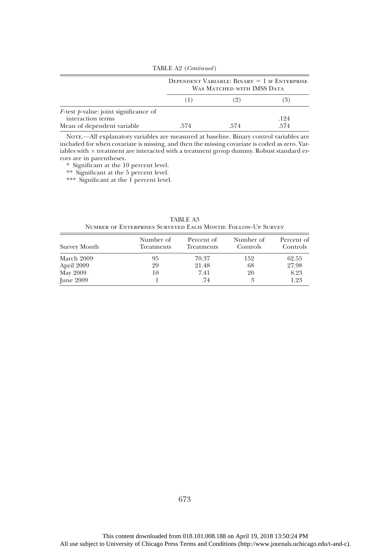| (1) |      | 3)                                                                                   |
|-----|------|--------------------------------------------------------------------------------------|
|     |      | .124<br>.574                                                                         |
|     | .574 | DEPENDENT VARIABLE: BINARY $= 1$ IF ENTERPRISE<br>WAS MATCHED WITH IMSS DATA<br>.574 |

TABLE A2 (Continued)

NOTE.-All explanatory variables are measured at baseline. Binary control variables are included for when covariate is missing, and then the missing covariate is coded as zero. Variables with  $\times$  treatment are interacted with a treatment group dummy. Robust standard errors are in parentheses.

\* Significant at the 10 percent level.

\*\* Significant at the 5 percent level.

\*\*\* Significant at the 1 percent level.

|                                                             | TABLE A3 |  |  |
|-------------------------------------------------------------|----------|--|--|
| NUMBER OF ENTERPRISES SURVEYED EACH MONTH: FOLLOW-UP SURVEY |          |  |  |

| Survey Month | Number of<br>Treatments | Percent of<br>Treatments | Number of<br>Controls | Percent of<br>Controls |
|--------------|-------------------------|--------------------------|-----------------------|------------------------|
| March 2009   | 95                      | 70.37                    | 152                   | 62.55                  |
| April 2009   | 29                      | 21.48                    | 68                    | 27.98                  |
| May 2009     | 10                      | 7.41                     | 20                    | 8.23                   |
| June $2009$  |                         | .74                      |                       | 1.23                   |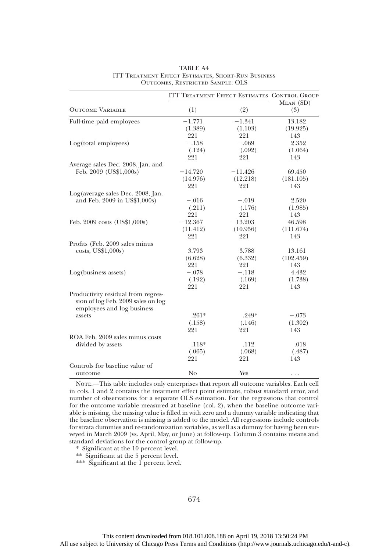|                                    |                | <b>ITT TREATMENT EFFECT ESTIMATES CONTROL GROUP</b> |                  |
|------------------------------------|----------------|-----------------------------------------------------|------------------|
| <b>OUTCOME VARIABLE</b>            | (1)            | (2)                                                 | MEAN (SD)<br>(3) |
| Full-time paid employees           | $-1.771$       | $-1.341$                                            | 13.182           |
|                                    | (1.389)        | (1.103)                                             | (19.925)         |
|                                    | 221            | 221                                                 | 143              |
| Log(total employees)               | $-.158$        | $-.069$                                             | 2.352            |
|                                    | (.124)         | (.092)                                              | (1.064)          |
|                                    | 221            | 221                                                 | 143              |
| Average sales Dec. 2008, Jan. and  |                |                                                     |                  |
| Feb. 2009 (US\$1,000s)             | $-14.720$      | $-11.426$                                           | 69.450           |
|                                    | (14.976)       | (12.218)                                            | (181.105)        |
|                                    | 221            | 221                                                 | 143              |
| Log(average sales Dec. 2008, Jan.  |                |                                                     |                  |
| and Feb. 2009 in US\$1,000s)       | $-.016$        | $-.019$                                             | 2.520            |
|                                    | (.211)         | (.176)                                              | (1.985)          |
|                                    | 221            | 221                                                 | 143              |
| Feb. 2009 costs (US\$1,000s)       | $-12.367$      | $-13.203$                                           | 46.598           |
|                                    | (11.412)       | (10.956)                                            | (111.674)        |
|                                    | 221            | 221                                                 | 143              |
| Profits (Feb. 2009 sales minus     |                |                                                     |                  |
| $costs$ , $US$1,000s$ )            | 3.793          | 3.788                                               | 13.161           |
|                                    | (6.628)        | (6.332)                                             | (102.459)        |
|                                    | 221            | 221                                                 | 143              |
| Log(business assets)               | $-.078$        | $-.118$                                             | 4.432            |
|                                    | (.192)         | (.169)                                              | (1.738)          |
|                                    | 221            | 221                                                 | 143              |
| Productivity residual from regres- |                |                                                     |                  |
| sion of log Feb. 2009 sales on log |                |                                                     |                  |
| employees and log business         |                |                                                     |                  |
| assets                             | $.261*$        | $.249*$                                             | $-.073$          |
|                                    | (.158)         | (.146)                                              | (1.302)          |
|                                    | 221            | 221                                                 | 143              |
| ROA Feb. 2009 sales minus costs    |                |                                                     |                  |
| divided by assets                  | $.118*$        | .112                                                | .018             |
|                                    | (.065)         | (.068)                                              | (.487)           |
|                                    | 221            | 221                                                 | 143              |
| Controls for baseline value of     |                |                                                     |                  |
| outcome                            | N <sub>o</sub> | Yes                                                 |                  |
|                                    |                |                                                     | .                |

TABLE A4 ITT Treatment Effect Estimates, Short-Run Business Outcomes, Restricted Sample: OLS

NOTE.—This table includes only enterprises that report all outcome variables. Each cell in cols. 1 and 2 contains the treatment effect point estimate, robust standard error, and number of observations for a separate OLS estimation. For the regressions that control for the outcome variable measured at baseline (col. 2), when the baseline outcome variable is missing, the missing value is filled in with zero and a dummy variable indicating that the baseline observation is missing is added to the model. All regressions include controls for strata dummies and re-randomization variables, as well as a dummy for having been surveyed in March 2009 (vs. April, May, or June) at follow-up. Column 3 contains means and standard deviations for the control group at follow-up.

\* Significant at the 10 percent level.

\*\* Significant at the 5 percent level.

\*\*\* Significant at the 1 percent level.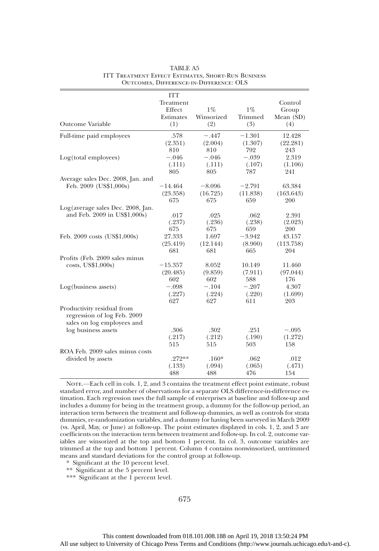|                                   | <b>ITT</b>          |                     |                  |                  |
|-----------------------------------|---------------------|---------------------|------------------|------------------|
|                                   | Treatment<br>Effect |                     |                  | Control          |
|                                   | Estimates           | $1\%$<br>Winsorized | $1\%$<br>Trimmed | Group            |
| Outcome Variable                  | (1)                 | (2)                 | (3)              | Mean (SD)<br>(4) |
|                                   |                     |                     |                  |                  |
| Full-time paid employees          | .578                | $-.447$             | $-1.301$         | 12.428           |
|                                   | (2.351)             | (2.004)             | (1.307)          | (22.281)         |
|                                   | 810                 | 810                 | 792              | 243              |
| Log(total employees)              | $-.046$             | $-.046$             | $-.039$          | 2.319            |
|                                   | (.111)              | (.111)              | (.107)           | (1.106)          |
|                                   | 805                 | 805                 | 787              | 241              |
| Average sales Dec. 2008, Jan. and |                     |                     |                  |                  |
| Feb. 2009 (US\$1,000s)            | $-14.464$           | $-8.096$            | $-2.791$         | 63.384           |
|                                   | (23.358)            | (16.725)            | (11.838)         | (163.643)        |
|                                   | 675                 | 675                 | 659              | 200              |
| Log(average sales Dec. 2008, Jan. |                     |                     |                  |                  |
| and Feb. 2009 in US\$1,000s)      | .017                | .025                | .062             | 2.391            |
|                                   | (.237)              | (.236)              | (.238)           | (2.023)          |
|                                   | 675                 | 675                 | 659              | 200              |
| Feb. 2009 costs (US\$1,000s)      | 27.333              | 1.697               | $-3.942$         | 43.157           |
|                                   | (25.419)            | (12.144)            | (8.900)          | (113.758)        |
|                                   | 681                 | 681                 | 665              | 204              |
| Profits (Feb. 2009 sales minus    |                     |                     |                  |                  |
| costs, US\$1,000s)                | $-15.357$           | 8.052               | 10.149           | 11.460           |
|                                   | (20.485)            | (9.859)             | (7.911)          | (97.044)         |
|                                   | 602                 | 602                 | 588              | 176              |
| Log(business assets)              | $-.098$             | $-.104$             | $-.207$          | 4.307            |
|                                   | (.227)              | (.224)              | (.220)           | (1.699)          |
|                                   | 627                 | 627                 | 611              | 203              |
| Productivity residual from        |                     |                     |                  |                  |
| regression of log Feb. 2009       |                     |                     |                  |                  |
| sales on log employees and        |                     |                     |                  |                  |
| log business assets               | .306                | .302                | .251             | $-.095$          |
|                                   | (.217)              | (.212)              | (.190)           | (1.272)          |
|                                   | 515                 | 515                 | 503              | 158              |
| ROA Feb. 2009 sales minus costs   |                     |                     |                  |                  |
| divided by assets                 | $.272**$            | $.160*$             | .062             | .012             |
|                                   | (.133)              | (.094)              | (.065)           | (.471)           |
|                                   | 488                 | 488                 | 476              | 154              |

| TABLE A5                                                  |
|-----------------------------------------------------------|
| <b>ITT TREATMENT EFFECT ESTIMATES, SHORT-RUN BUSINESS</b> |
| OUTCOMES. DIFFERENCE-IN-DIFFERENCE: OLS                   |

NOTE.—Each cell in cols. 1, 2, and 3 contains the treatment effect point estimate, robust standard error, and number of observations for a separate OLS difference-in-difference estimation. Each regression uses the full sample of enterprises at baseline and follow-up and includes a dummy for being in the treatment group, a dummy for the follow-up period, an interaction term between the treatment and follow-up dummies, as well as controls for strata dummies, re-randomization variables, and a dummy for having been surveyed in March 2009 (vs. April, May, or June) at follow-up. The point estimates displayed in cols. 1, 2, and 3 are coefficients on the interaction term between treatment and follow-up. In col. 2, outcome variables are winsorized at the top and bottom 1 percent. In col. 3, outcome variables are trimmed at the top and bottom 1 percent. Column 4 contains nonwinsorized, untrimmed means and standard deviations for the control group at follow-up.

\* Significant at the 10 percent level.

\*\* Significant at the 5 percent level.

\*\*\* Significant at the 1 percent level.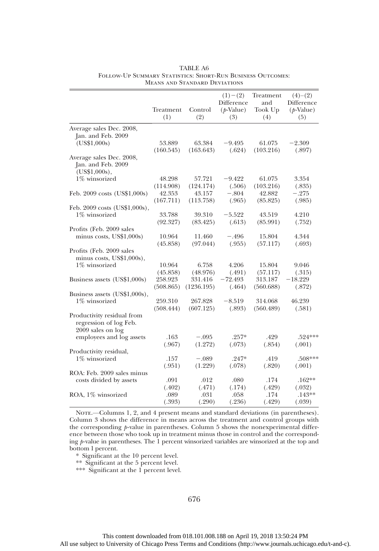|                               |           |            | $(1)-(2)$          | Treatment | $(4)-(2)$          |
|-------------------------------|-----------|------------|--------------------|-----------|--------------------|
|                               |           |            | Difference         | and       | Difference         |
|                               | Treatment | Control    | $(p\text{-Value})$ | Took Up   | $(p\text{-Value})$ |
|                               | (1)       | (2)        | (3)                | (4)       | (5)                |
| Average sales Dec. 2008,      |           |            |                    |           |                    |
| Jan. and Feb. 2009            |           |            |                    |           |                    |
| (US\$1,000s)                  | 53.889    | 63.384     | $-9.495$           | 61.075    | $-2.309$           |
|                               | (160.545) | (163.643)  | (.624)             | (103.216) | (.897)             |
| Average sales Dec. 2008,      |           |            |                    |           |                    |
| Jan. and Feb. 2009            |           |            |                    |           |                    |
| (US\$1,000s),                 |           |            |                    |           |                    |
| 1% winsorized                 | 48.298    | 57.721     | $-9.422$           | 61.075    | 3.354              |
|                               | (114.908) | (124.174)  | (.506)             | (103.216) | (.835)             |
| Feb. 2009 costs (US\$1,000s)  | 42.353    | 43.157     | $-.804$            | 42.882    | $-.275$            |
|                               | (167.711) | (113.758)  | (.965)             | (85.825)  | (.985)             |
| Feb. 2009 costs (US\$1,000s), |           |            |                    |           |                    |
| 1% winsorized                 | 33.788    | 39.310     | $-5.522$           | 43.519    | 4.210              |
|                               | (92.327)  | (83.425)   | (.613)             | (85.991)  | (.752)             |
| Profits (Feb. 2009 sales      |           |            |                    |           |                    |
| minus costs, US\$1,000s)      | 10.964    | 11.460     | $-.496$            | 15.804    | 4.344              |
|                               | (45.858)  | (97.044)   | (.955)             | (57.117)  | (.693)             |
| Profits (Feb. 2009 sales      |           |            |                    |           |                    |
| minus costs, $US$1,000s$ ),   |           |            |                    |           |                    |
| 1% winsorized                 | 10.964    | 6.758      | 4.206              | 15.804    | 9.046              |
|                               | (45.858)  | (48.976)   | (.491)             | (57.117)  | (.315)             |
| Business assets (US\$1,000s)  | 258.923   | 331.416    | $-72.493$          | 313.187   | $-18.229$          |
|                               | (508.865) | (1236.195) | (.464)             | (560.688) | (.872)             |
| Business assets (US\$1,000s), |           |            |                    |           |                    |
| 1% winsorized                 | 259.310   | 267.828    | $-8.519$           | 314.068   | 46.239             |
|                               | (508.444) | (607.125)  | (.893)             | (560.489) | (.581)             |
| Productivity residual from    |           |            |                    |           |                    |
| regression of log Feb.        |           |            |                    |           |                    |
| 2009 sales on log             |           |            |                    |           |                    |
| employees and log assets      | .163      | $-.095$    | $.257*$            | .429      | $.524***$          |
|                               | (.967)    | (1.272)    | (.073)             | (.854)    | (.001)             |
| Productivity residual,        |           |            |                    |           |                    |
| 1% winsorized                 | .157      | $-.089$    | $.247*$            | .419      | .508***            |
|                               | (.951)    | (1.229)    | (.078)             | (.820)    | (.001)             |
| ROA: Feb. 2009 sales minus    |           |            |                    |           |                    |
| costs divided by assets       | .091      | .012       | .080               | .174      | $.162**$           |
|                               | (.402)    | (.471)     | (.174)             | (.429)    | (.032)             |
| ROA, 1% winsorized            | .089      | .031       | .058               | .174      | $.143**$           |
|                               | (.393)    | (.290)     | (.236)             | (.429)    | (.039)             |

## TABLE A6 Follow-Up Summary Statistics: Short-Run Business Outcomes: Means and Standard Deviations

NOTE.—Columns 1, 2, and 4 present means and standard deviations (in parentheses). Column 3 shows the difference in means across the treatment and control groups with the corresponding  $p$ -value in parentheses. Column 5 shows the nonexperimental difference between those who took up in treatment minus those in control and the corresponding  $p$ -value in parentheses. The 1 percent winsorized variables are winsorized at the top and bottom 1 percent.

\* Significant at the 10 percent level.

\*\* Significant at the 5 percent level.

\*\*\* Significant at the 1 percent level.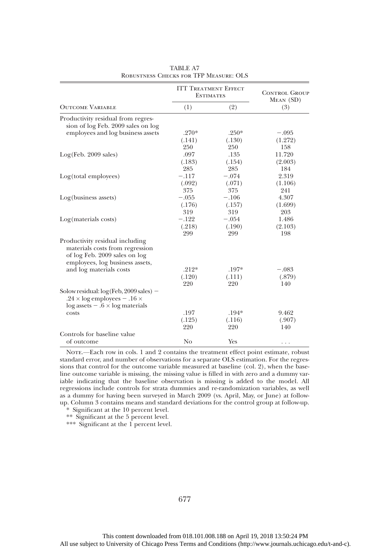|                                                                                                                                        |         | <b>ITT TREATMENT EFFECT</b><br><b>ESTIMATES</b> | <b>CONTROL GROUP</b><br>MEAN (SD) |
|----------------------------------------------------------------------------------------------------------------------------------------|---------|-------------------------------------------------|-----------------------------------|
| <b>OUTCOME VARIABLE</b>                                                                                                                | (1)     | (2)                                             | (3)                               |
| Productivity residual from regres-<br>sion of log Feb. 2009 sales on log                                                               |         |                                                 |                                   |
| employees and log business assets                                                                                                      | $.270*$ | $.250*$                                         | $-.095$                           |
|                                                                                                                                        | (.141)  | (.130)                                          | (1.272)                           |
|                                                                                                                                        | 250     | 250                                             | 158                               |
| Log(Feb. 2009 sales)                                                                                                                   | .097    | .135                                            | 11.720                            |
|                                                                                                                                        | (.183)  | (.154)                                          | (2.003)                           |
|                                                                                                                                        | 285     | 285                                             | 184                               |
| $Log(total$ employees)                                                                                                                 | $-.117$ | $-.074$                                         | 2.319                             |
|                                                                                                                                        | (.092)  | (.071)                                          | (1.106)                           |
|                                                                                                                                        | 375     | 375                                             | 241                               |
| Log(business assets)                                                                                                                   | $-.055$ | $-.106$                                         | 4.307                             |
|                                                                                                                                        | (.176)  | (.157)                                          | (1.699)                           |
|                                                                                                                                        | 319     | 319                                             | 203                               |
| Log(materials costs)                                                                                                                   | $-.122$ | $-.054$                                         | 1.486                             |
|                                                                                                                                        | (.218)  | (.190)                                          | (2.103)                           |
|                                                                                                                                        | 299     | 299                                             | 198                               |
| Productivity residual including<br>materials costs from regression<br>of log Feb. 2009 sales on log<br>employees, log business assets, |         |                                                 |                                   |
| and log materials costs                                                                                                                | $.212*$ | .197*                                           | $-.083$                           |
|                                                                                                                                        | (.120)  | (.111)                                          | (.879)                            |
|                                                                                                                                        | 220     | 220                                             | 140                               |
| Solow residual: $log(Feb, 2009 \, sales)$ –<br>$.24 \times \log$ employees $-.16 \times$<br>$log$ assets $- .6 \times log$ materials   |         |                                                 |                                   |
| costs                                                                                                                                  | .197    | $.194*$                                         | 9.462                             |
|                                                                                                                                        | (.125)  | (.116)                                          | (.907)                            |
|                                                                                                                                        | 220     | 220                                             | 140                               |
| Controls for baseline value                                                                                                            |         |                                                 |                                   |
| of outcome                                                                                                                             | No      | Yes                                             | .                                 |

TABLE A7 Robustness Checks for TFP Measure: OLS

NOTE.—Each row in cols. 1 and 2 contains the treatment effect point estimate, robust standard error, and number of observations for a separate OLS estimation. For the regressions that control for the outcome variable measured at baseline (col. 2), when the baseline outcome variable is missing, the missing value is filled in with zero and a dummy variable indicating that the baseline observation is missing is added to the model. All regressions include controls for strata dummies and re-randomization variables, as well as a dummy for having been surveyed in March 2009 (vs. April, May, or June) at followup. Column 3 contains means and standard deviations for the control group at follow-up.

\* Significant at the 10 percent level.

\*\* Significant at the 5 percent level.

\*\*\* Significant at the 1 percent level.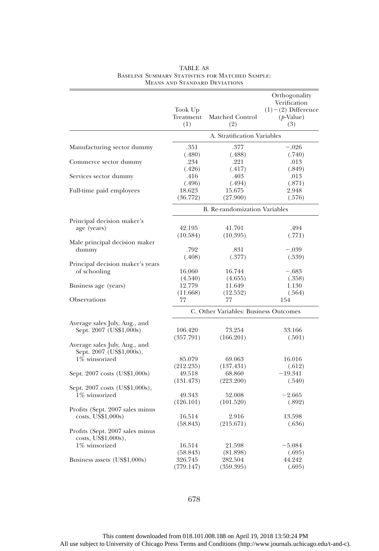|                                                                                                                       | Took Up<br>Treatment<br>(1) | Matched Control<br>(2)                | Orthogonality<br>Verification<br>$(1) - (2)$ Difference<br>$(p$ -Value)<br>(3) |
|-----------------------------------------------------------------------------------------------------------------------|-----------------------------|---------------------------------------|--------------------------------------------------------------------------------|
|                                                                                                                       |                             | A. Stratification Variables           |                                                                                |
| Manufacturing sector dummy                                                                                            | .351                        | .377                                  | $-.026$                                                                        |
|                                                                                                                       | (.480)                      | (.488)                                | (.740)                                                                         |
| Commerce sector dummy                                                                                                 | .234                        | .221                                  | .013                                                                           |
|                                                                                                                       | (.426)                      | (.417)                                | (.849)                                                                         |
| Services sector dummy                                                                                                 | .416                        | .403                                  | .013                                                                           |
|                                                                                                                       | (.496)                      | (.494)                                | (.871)                                                                         |
| Full-time paid employees                                                                                              | 18.623                      | 15.675                                | 2.948                                                                          |
|                                                                                                                       | (36.772)                    | (27.900)                              | (.576)                                                                         |
|                                                                                                                       |                             | B. Re-randomization Variables         |                                                                                |
| Principal decision maker's                                                                                            | 42.195                      | 41.701                                | .494                                                                           |
| age (years)                                                                                                           | (10.584)                    | (10.395)                              | (.771)                                                                         |
| Male principal decision maker                                                                                         | .792                        | .831                                  | $-.039$                                                                        |
| dummy                                                                                                                 | (.408)                      | (.377)                                | (.539)                                                                         |
| Principal decision maker's years                                                                                      | 16.060                      | 16.744                                | $-.683$                                                                        |
| of schooling                                                                                                          | (4.540)                     | (4.655)                               |                                                                                |
| Business age (years)                                                                                                  | 12.779<br>(11.668)          | 11.649<br>(12.552)                    | (.358)<br>1.130<br>(.564)                                                      |
| Observations                                                                                                          | 77                          | 77                                    | 154                                                                            |
|                                                                                                                       |                             | C. Other Variables: Business Outcomes |                                                                                |
| Average sales July, Aug., and<br>Sept. 2007 (US\$1,000s)<br>Average sales July, Aug., and<br>Sept. 2007 (US\$1,000s), | 106.420<br>(357.791)        | 73.254<br>(166.201)                   | 33.166<br>(.501)                                                               |
| 1% winsorized                                                                                                         | 85.079                      | 69.063                                | 16.016                                                                         |
|                                                                                                                       | (212.235)                   | (137.431)                             | (.612)                                                                         |
| Sept. 2007 costs (US\$1,000s)                                                                                         | 49.518                      | 68.860                                | $-19.341$                                                                      |
|                                                                                                                       | (131.473)                   | (223.200)                             | (.540)                                                                         |
| Sept. 2007 costs (US\$1,000s),                                                                                        | 49.343                      | 52.008                                | $-2.665$                                                                       |
| 1% winsorized                                                                                                         | (126.101)                   | (101.520)                             | (.892)                                                                         |
| Profits (Sept. 2007 sales minus                                                                                       | 16.514                      | 2.916                                 | 13.598                                                                         |
| costs, US\$1,000s)                                                                                                    | (58.843)                    | (215.671)                             | (.636)                                                                         |
| Profits (Sept. 2007 sales minus<br>costs, US\$1,000s),                                                                |                             |                                       |                                                                                |
| 1% winsorized                                                                                                         | 16.514                      | 21.598                                | $-5.084$                                                                       |
|                                                                                                                       | (58.843)                    | (81.898)                              | (.695)                                                                         |
| Business assets (US\$1,000s)                                                                                          | 326.745                     | 282.504                               | 44.242                                                                         |
|                                                                                                                       | (779.147)                   | (359.395)                             | (.695)                                                                         |

#### TABLE A8 Baseline Summary Statistics for Matched Sample: Means and Standard Deviations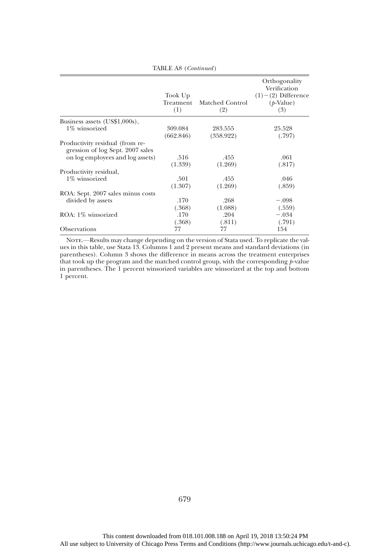|                                                                     | TABLE A8 ( <i>Continued</i> ) |                        |                                                                                      |
|---------------------------------------------------------------------|-------------------------------|------------------------|--------------------------------------------------------------------------------------|
|                                                                     | Took Up<br>Treatment<br>(1)   | Matched Control<br>(2) | Orthogonality<br>Verification<br>$(1) - (2)$ Difference<br>$(p\text{-Value})$<br>(3) |
| Business assets (US\$1,000s),                                       |                               |                        |                                                                                      |
| 1% winsorized                                                       | 309.084<br>(662.846)          | 283.555<br>(358.922)   | 25.528<br>(.797)                                                                     |
| Productivity residual (from re-<br>gression of log Sept. 2007 sales |                               |                        |                                                                                      |
| on log employees and log assets)                                    | .516<br>(1.339)               | .455<br>(1.269)        | .061<br>(.817)                                                                       |
| Productivity residual,                                              |                               |                        |                                                                                      |
| 1% winsorized                                                       | .501<br>(1.307)               | .455<br>(1.269)        | .046<br>(.859)                                                                       |
| ROA: Sept. 2007 sales minus costs                                   |                               |                        |                                                                                      |
| divided by assets                                                   | .170                          | .268                   | $-.098$                                                                              |
|                                                                     | (.368)                        | (1.088)                | (.559)                                                                               |
| ROA: 1% winsorized                                                  | .170                          | .204                   | $-.034$                                                                              |
|                                                                     | (.368)                        | (.811)                 | (.791)                                                                               |
| <b>Observations</b>                                                 | 77                            | 77                     | 154                                                                                  |

NOTE.—Results may change depending on the version of Stata used. To replicate the values in this table, use Stata 13. Columns 1 and 2 present means and standard deviations (in parentheses). Column 3 shows the difference in means across the treatment enterprises that took up the program and the matched control group, with the corresponding  $p$ -value in parentheses. The 1 percent winsorized variables are winsorized at the top and bottom 1 percent.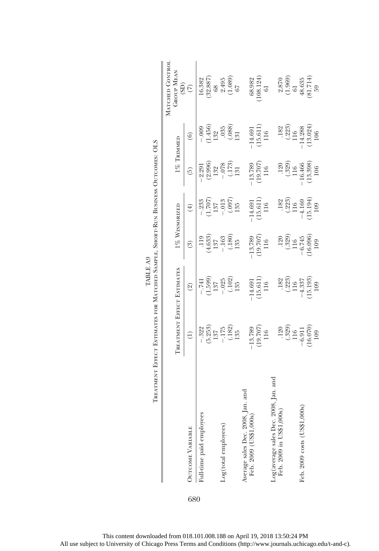|                                                             | TREATMENT EFFECT ESTIMATES FOR MATCHED SAMPLE, SHORT-RUN BUSINESS OUTCOMES: OLS |                                                  |                                                                           |                                                                                    |                            |                                                           |                                                                             |
|-------------------------------------------------------------|---------------------------------------------------------------------------------|--------------------------------------------------|---------------------------------------------------------------------------|------------------------------------------------------------------------------------|----------------------------|-----------------------------------------------------------|-----------------------------------------------------------------------------|
|                                                             |                                                                                 | <b>DEATMENT EFFECT ESTIMATES</b>                 |                                                                           | 1% WINSORIZED                                                                      | 1% TRIMMED                 |                                                           | MATCHED CONTROL<br><b>GROUP MEAN</b>                                        |
| <b>OUTCOME VARIABLE</b>                                     |                                                                                 | ହି                                               | စြ                                                                        | $\widehat{\mathfrak{t}}$                                                           | ق                          | $\widehat{\mathbf{e}}$                                    | $\widehat{\Theta}$                                                          |
| Full-time paid employees                                    | $-.322$                                                                         | $-741$                                           |                                                                           | $\begin{array}{c} -.233 \\ (1.707) \\ 137 \\ - .013 \\ (.097) \\ .095 \end{array}$ | $-2.291$                   | $-0.009$                                                  | 16.382                                                                      |
|                                                             | $\begin{array}{c} (5.253) \\ -137 \\ -175 \\ (.182) \\ 135 \end{array}$         | $(1.599)$<br>$137$<br>$-025$<br>$(102)$<br>$135$ | $\begin{array}{c} (4.633) \\ 137 \end{array}$                             |                                                                                    | $(2.996)$<br>132           | $\frac{(1.456)}{132}$                                     | $\begin{array}{c} (32.887) \\ 68 \\ 2.495 \\ (1.089) \\ 67 \end{array}$     |
| Log(total employees)                                        |                                                                                 |                                                  |                                                                           |                                                                                    | $-0.78$                    | .035                                                      |                                                                             |
|                                                             |                                                                                 |                                                  | $-163$<br>(.180)<br>135                                                   |                                                                                    | $\frac{(173)}{131}$        | $\frac{(0.088)}{131}$                                     |                                                                             |
|                                                             |                                                                                 |                                                  |                                                                           |                                                                                    |                            |                                                           |                                                                             |
|                                                             |                                                                                 |                                                  |                                                                           |                                                                                    |                            |                                                           |                                                                             |
| Average sales Dec. 2008, Jan. and<br>Feb. 2009 (US\$1,000s) | $-13.789$                                                                       |                                                  |                                                                           |                                                                                    |                            |                                                           |                                                                             |
|                                                             | $(19.707)$ $116$                                                                | $\frac{14.691}{(15.611)}$<br>$\frac{116}{116}$   | $\frac{-13.789}{(19.707)}$<br>$\frac{116}{116}$                           | $\frac{-14.691}{116}$                                                              | $\frac{-13.789}{(19.707)}$ | $\begin{array}{c} -14.691 \\ (15.611) \\ 116 \end{array}$ | $\begin{array}{c} 68.982 \\ (108.124) \\ 61 \end{array}$                    |
|                                                             |                                                                                 |                                                  |                                                                           |                                                                                    |                            |                                                           |                                                                             |
| 2008, Jan. and                                              |                                                                                 |                                                  |                                                                           |                                                                                    |                            |                                                           |                                                                             |
| (500)<br>Log(average sales Dec.<br>Feb. 2009 in US\$1,0     | .120                                                                            |                                                  |                                                                           |                                                                                    |                            | .182                                                      |                                                                             |
|                                                             |                                                                                 | $\frac{182}{(223)}$<br>116                       |                                                                           |                                                                                    | $\frac{120}{(329)}$<br>116 | $\frac{(.223)}{116}$                                      |                                                                             |
|                                                             | $(.329)$<br>116                                                                 |                                                  |                                                                           |                                                                                    |                            |                                                           |                                                                             |
| 000(s)<br>Feb. 2009 costs (US\$1,                           | $-6.911$<br>(16.070)                                                            |                                                  | $\begin{array}{c} .120 \\ .329 \\ 116 \\ -6.745 \\ (-16.096) \end{array}$ | $.182$<br>$(.223)$<br>$116$<br>$-4.169$<br>$(15.194)$                              | $-16.466$<br>(13.398)      | $\frac{-14.288}{13.024}$                                  | $\begin{array}{c} 2.870 \\ (1.969) \\ 61 \\ 48.635 \\ (81.714) \end{array}$ |
|                                                             |                                                                                 | $-4.337$<br>(15.193)                             |                                                                           |                                                                                    |                            |                                                           |                                                                             |
|                                                             | 109                                                                             | 109                                              | 109                                                                       | 109                                                                                | 106                        |                                                           | 59                                                                          |

TABLE A9 TABLE A9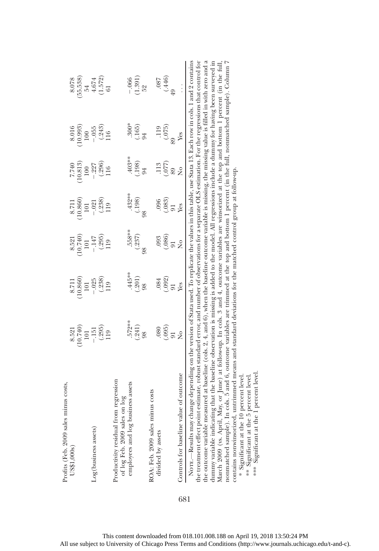| minus costs,<br>Profits (Feb. 2009 sales                                                                                                                                                                                                                                                                                                                                                                                                                                                                                                                                                                                                                                                                                                                                                                  |                                                  |                                                         |                                                         |                                                         |                         |                              |                                                                         |
|-----------------------------------------------------------------------------------------------------------------------------------------------------------------------------------------------------------------------------------------------------------------------------------------------------------------------------------------------------------------------------------------------------------------------------------------------------------------------------------------------------------------------------------------------------------------------------------------------------------------------------------------------------------------------------------------------------------------------------------------------------------------------------------------------------------|--------------------------------------------------|---------------------------------------------------------|---------------------------------------------------------|---------------------------------------------------------|-------------------------|------------------------------|-------------------------------------------------------------------------|
| US\$1,000s)                                                                                                                                                                                                                                                                                                                                                                                                                                                                                                                                                                                                                                                                                                                                                                                               |                                                  |                                                         |                                                         |                                                         | 7.740                   | 8.016                        | 8.078                                                                   |
|                                                                                                                                                                                                                                                                                                                                                                                                                                                                                                                                                                                                                                                                                                                                                                                                           | $\begin{array}{c} 8.521 \\ (10.740) \end{array}$ | $\begin{array}{c} 8.711 \\ (10.860) \\ 101 \end{array}$ | $\begin{array}{c} 8.521 \\ (10.740) \\ 101 \end{array}$ | $\begin{array}{c} 8.711 \\ (10.860) \\ 101 \end{array}$ | $\frac{(10.813)}{100}$  | $(10.993)$ $100$             | $\begin{array}{c} (55.538) \\ 54 \\ 4.674 \\ (1.572) \\ 61 \end{array}$ |
|                                                                                                                                                                                                                                                                                                                                                                                                                                                                                                                                                                                                                                                                                                                                                                                                           | 101                                              |                                                         |                                                         |                                                         |                         |                              |                                                                         |
| Log(business assets)                                                                                                                                                                                                                                                                                                                                                                                                                                                                                                                                                                                                                                                                                                                                                                                      | $-151$                                           |                                                         |                                                         |                                                         |                         |                              |                                                                         |
|                                                                                                                                                                                                                                                                                                                                                                                                                                                                                                                                                                                                                                                                                                                                                                                                           | $(.295)$<br>119                                  | $-025$<br>(.238)<br>119                                 | $-147$<br>(.295)<br>119                                 | $-021$<br>(.238)<br>119                                 | $-227$<br>(.296)<br>116 | $-055$<br>$(0.243)$<br>$116$ |                                                                         |
|                                                                                                                                                                                                                                                                                                                                                                                                                                                                                                                                                                                                                                                                                                                                                                                                           |                                                  |                                                         |                                                         |                                                         |                         |                              |                                                                         |
| Productivity residual from regression<br>of log Feb. 2009 sales on log                                                                                                                                                                                                                                                                                                                                                                                                                                                                                                                                                                                                                                                                                                                                    |                                                  |                                                         |                                                         |                                                         |                         |                              |                                                                         |
| employees and log business assets                                                                                                                                                                                                                                                                                                                                                                                                                                                                                                                                                                                                                                                                                                                                                                         | $.572***$                                        | .445**                                                  | .558**                                                  | $.432***$                                               | .403**                  | $.300*$                      |                                                                         |
|                                                                                                                                                                                                                                                                                                                                                                                                                                                                                                                                                                                                                                                                                                                                                                                                           | $\frac{(.241)}{98}$                              | $(201)$<br>98                                           | (.237)                                                  | (.198)                                                  | $(198)$<br>94           | $(165)$<br>94                | $-0.066$<br>(1.391)                                                     |
|                                                                                                                                                                                                                                                                                                                                                                                                                                                                                                                                                                                                                                                                                                                                                                                                           |                                                  |                                                         | 98                                                      | 98                                                      |                         |                              | 52                                                                      |
| ROA: Feb. 2009 sales minus costs                                                                                                                                                                                                                                                                                                                                                                                                                                                                                                                                                                                                                                                                                                                                                                          |                                                  |                                                         |                                                         |                                                         |                         |                              |                                                                         |
| divided by assets                                                                                                                                                                                                                                                                                                                                                                                                                                                                                                                                                                                                                                                                                                                                                                                         | $080$ .                                          | .084                                                    | 093                                                     | 096                                                     | 113                     | .119                         | $780.$                                                                  |
|                                                                                                                                                                                                                                                                                                                                                                                                                                                                                                                                                                                                                                                                                                                                                                                                           | $(095)$<br>91                                    | $\begin{array}{c} (0.002)\\ 91 \end{array}$             | $(086)$<br>91                                           | $\frac{(083)}{91}$                                      |                         | (.075)                       | (.446)                                                                  |
|                                                                                                                                                                                                                                                                                                                                                                                                                                                                                                                                                                                                                                                                                                                                                                                                           |                                                  |                                                         |                                                         |                                                         | $(22)$<br>$(22)$        |                              |                                                                         |
| Controls for baseline value of outcome                                                                                                                                                                                                                                                                                                                                                                                                                                                                                                                                                                                                                                                                                                                                                                    | $\frac{1}{2}$                                    | Yes                                                     | $\tilde{X}^{\circ}$                                     | Yes                                                     | $\frac{1}{2}$           | Yes                          |                                                                         |
| the treatment effect point estimate, robust standard error, and number of observations for a separate OLS estimation. For the regressions that control for<br>the outcome variable measured at baseline (cols. 2, 4, and 6), when the baseline outcome variable is missing, the missing value is filled in with zero and a<br>NOTE.—Results may change depending on the version of Stata used. To replicate the values in this table, use Stata 13. Each row in cols. 1 and 2 contains<br>dummy variable indicating that the baseline observation is missing is added to the model. All regressions include a dummy for having been surveyed in<br>May, or June) at follow-up. In cols. 3 and 4, outcome variables are winsorized at the top and bottom 1 percent (in the full,<br>March 2009 (vs. April, |                                                  |                                                         |                                                         |                                                         |                         |                              |                                                                         |

nonmatched sample). In cols. 5 and 6, outcome variables are trimmed at the top and bottom 1 percent (in the full, nonmatched sample). Column 7 nonmatched sample). In cols. 5 and 6, outcome variables are trimmed at the top and bottom 1 percent (in the full, nonmatched sample). Column 7 contains nonwinsorized, untrimmed means and standard deviations for the matched control group at follow-up. contains nonwinsorized, untrimmed means and standard deviations for the matched control group at follow-up.

\* Significant at the 10 percent level.<br>\*\* Significant at the 5 percent level.<br>\*\*\* Significant at the 1 percent level. \* Significant at the 10 percent level.

\*\* Significant at the 5 percent level.

\*\*\* Significant at the 1 percent level.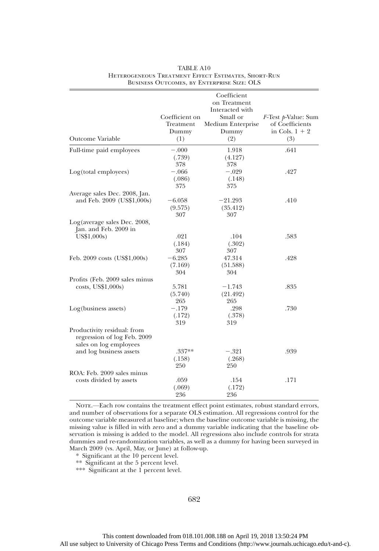| Outcome Variable                                                                     | Coefficient on<br>Treatment<br>Dummy<br>(1) | Coefficient<br>on Treatment<br>Interacted with<br>Small or<br>Medium Enterprise<br>Dummy<br>(2) | F-Test p-Value: Sum<br>of Coefficients<br>in Cols. $1 + 2$<br>(3) |
|--------------------------------------------------------------------------------------|---------------------------------------------|-------------------------------------------------------------------------------------------------|-------------------------------------------------------------------|
| Full-time paid employees                                                             | $-.000$<br>(.739)                           | 1.918<br>(4.127)                                                                                | .641                                                              |
| Log(total employees)                                                                 | 378<br>$-.066$<br>(.086)<br>375             | 378<br>$-.029$<br>(.148)<br>375                                                                 | .427                                                              |
| Average sales Dec. 2008, Jan.<br>and Feb. 2009 (US\$1,000s)                          | $-6.058$<br>(9.575)<br>307                  | $-21.293$<br>(35.412)<br>307                                                                    | .410                                                              |
| Log(average sales Dec. 2008,<br>Jan. and Feb. 2009 in                                |                                             |                                                                                                 |                                                                   |
| US\$1,000s)                                                                          | .021<br>(.184)<br>307                       | .104<br>(.302)<br>307                                                                           | .583                                                              |
| Feb. 2009 costs (US\$1,000s)                                                         | $-6.285$<br>(7.169)<br>304                  | 47.314<br>(51.588)<br>304                                                                       | .428                                                              |
| Profits (Feb. 2009 sales minus<br>costs, US\$1,000s)                                 | 5.781<br>(5.740)<br>265                     | $-1.743$<br>(21.492)<br>265                                                                     | .835                                                              |
| Log(business assets)                                                                 | $-.179$<br>(.172)<br>319                    | .298<br>(.378)<br>319                                                                           | .730                                                              |
| Productivity residual: from<br>regression of log Feb. 2009<br>sales on log employees |                                             |                                                                                                 |                                                                   |
| and log business assets                                                              | $.337**$<br>(.158)<br>250                   | $-.321$<br>(.268)<br>250                                                                        | .939                                                              |
| ROA: Feb. 2009 sales minus<br>costs divided by assets                                | .059<br>(.069)<br>236                       | .154<br>(.172)<br>236                                                                           | .171                                                              |

#### TABLE A10 HETEROGENEOUS TREATMENT EFFECT ESTIMATES, SHORT-RUN Business Outcomes, by Enterprise Size: OLS

NOTE.—Each row contains the treatment effect point estimates, robust standard errors, and number of observations for a separate OLS estimation. All regressions control for the outcome variable measured at baseline; when the baseline outcome variable is missing, the missing value is filled in with zero and a dummy variable indicating that the baseline observation is missing is added to the model. All regressions also include controls for strata dummies and re-randomization variables, as well as a dummy for having been surveyed in March 2009 (vs. April, May, or June) at follow-up.

\* Significant at the 10 percent level.

\*\* Significant at the 5 percent level.

\*\*\* Significant at the 1 percent level.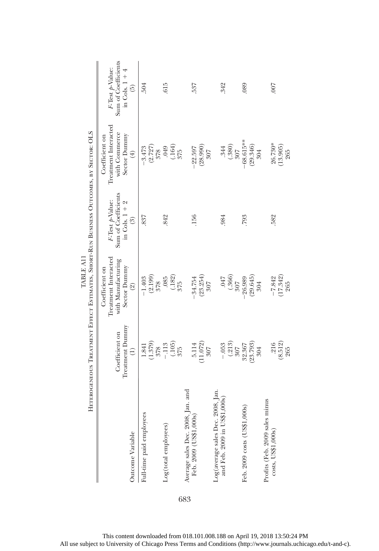|                                                                                  |                                                                        | HETEROGENEOUS TREATMENT EFFECT ESTIMATES, SHORT-RUN BUSINESS OUTCOMES, BY SECTOR: OLS<br>TABLE A11 |                                                                   |                                                                                    |                                                                              |
|----------------------------------------------------------------------------------|------------------------------------------------------------------------|----------------------------------------------------------------------------------------------------|-------------------------------------------------------------------|------------------------------------------------------------------------------------|------------------------------------------------------------------------------|
| Outcome Variable                                                                 | Treatment Dummy<br>Coefficient on<br>$\widehat{\Xi}$                   | Treatment Interacted<br>with Manufacturing<br>Sector Dummy<br>Coefficient on<br>$\circledR$        | Sum of Coefficients<br>F-Test p-Value:<br>in Cols. $1 + 2$<br>(3) | Treatment Interacted<br>with Commerce<br>Sector Dummy<br>Coefficient on<br>$(\pm)$ | Sum of Coefficients<br>F-Test p-Value:<br>in Cols. $1 + 4$<br>$\binom{5}{2}$ |
| Full-time paid employees                                                         | 1.841                                                                  | $-1.403$                                                                                           | 837                                                               | $(2.727)$<br>$378$<br>$-3.473$                                                     | 504                                                                          |
| Log(total employees)                                                             | $\begin{array}{c} (1.379) \\ 378 \\ -113 \\ (.105) \\ 375 \end{array}$ | $\begin{array}{c} (2.199) \\ 378 \\ .085 \\ (.182) \\ .75 \end{array}$                             | 842                                                               | $(164)$<br>$(164)$<br>$(375)$                                                      | 615                                                                          |
| Average sales Dec. 2008, Jan. and<br>Feb. 2009 (US\$1,000s)                      | $5.114$<br>(11.072)<br>307                                             | (23.254)<br>34.754<br>307                                                                          | 156                                                               | (28.990)<br>$-22.597$<br>307                                                       | 537                                                                          |
| Log(average sales Dec. 2008, Jan.<br>$5\frac{1}{2}1,000s$<br>and Feb. 2009 in US | $\begin{array}{c} (213) \\ 307 \end{array}$<br>$-.053$                 | $\frac{366}{307}$<br>447                                                                           | .984                                                              | (.380)<br>344<br>307                                                               | .342                                                                         |
| ,000s)<br>Feb. 2009 costs (US\$1,                                                | $32.367$<br>(23.793)<br>304                                            | (29.645)<br>$-26.989$<br>304                                                                       | 793                                                               | $-68.615***$<br>(29.346)<br>304                                                    | .089                                                                         |
| Profits (Feb. 2009 sales minus<br>costs, US\$1,000s)                             | (8.512)<br>.216<br>265                                                 | (17.342)<br>$-7.842$<br>265                                                                        | 582                                                               | 26.730*<br>(13.905)<br>265                                                         | 700.                                                                         |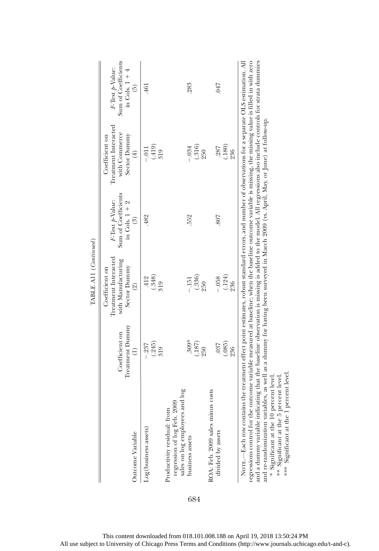|                                                                                                                                                                                                                                                                                                                                                                                                                                                                                                                                                                                                                                                                                        |                                                      | TABLE A11 (Continued)                                                                         |                                                                                 |                                                                                    |                                                                                             |
|----------------------------------------------------------------------------------------------------------------------------------------------------------------------------------------------------------------------------------------------------------------------------------------------------------------------------------------------------------------------------------------------------------------------------------------------------------------------------------------------------------------------------------------------------------------------------------------------------------------------------------------------------------------------------------------|------------------------------------------------------|-----------------------------------------------------------------------------------------------|---------------------------------------------------------------------------------|------------------------------------------------------------------------------------|---------------------------------------------------------------------------------------------|
| Outcome Variable                                                                                                                                                                                                                                                                                                                                                                                                                                                                                                                                                                                                                                                                       | Treatment Dummy<br>Coefficient on<br>$\widehat{\Xi}$ | Treatment Interacted<br>with Manufacturing<br>Sector Dummy<br>Coefficient on<br>$\circled{2}$ | Sum of Coefficients<br>in Cols. $1 + 2$<br>F-Test p-Value:<br>$\left( 3\right)$ | Treatment Interacted<br>with Commerce<br>Sector Dummy<br>Coefficient on<br>$(\pm)$ | Sum of Coefficients<br>F-Test p-Value:<br>in Cols. 1 + 4 $\,$<br>$\left(\frac{5}{2}\right)$ |
| Log(business assets)                                                                                                                                                                                                                                                                                                                                                                                                                                                                                                                                                                                                                                                                   | (.245)<br>$-.237$<br>819                             | (.348)<br>412<br>319                                                                          | .482                                                                            | (.419)<br>$-0.011$<br>819                                                          | 461                                                                                         |
| sales on log employees and log<br>regression of log Feb. 2009<br>Productivity residual: from                                                                                                                                                                                                                                                                                                                                                                                                                                                                                                                                                                                           |                                                      |                                                                                               |                                                                                 |                                                                                    |                                                                                             |
| business assets                                                                                                                                                                                                                                                                                                                                                                                                                                                                                                                                                                                                                                                                        | $.309*$<br>(.187)<br>250                             | (.336)<br>$-151$<br>250                                                                       | .552                                                                            | $\frac{(.316)}{250}$<br>$-.034$                                                    | 283                                                                                         |
| ROA: Feb. 2009 sales minus costs<br>divided by assets                                                                                                                                                                                                                                                                                                                                                                                                                                                                                                                                                                                                                                  | (.085)<br>037                                        | $\frac{(.124)}{236}$<br>$-.058$                                                               | 708.                                                                            | (.180)<br>287                                                                      | 747                                                                                         |
| regressions control for the outcome variable measured at baseline; when the baseline outcome variable is missing, the missing value is filled in with zero<br>NOTE.—Each row contains the treatment effect point estimates, robust standard errors, and number of observations for a separate OLS estimation. All<br>and a dummy variable indicating that the baseline observation is missing is added to the model. All regressions also include controls for strata dummies<br>and re-randomization variables, as well as a dummy for having been su<br>** Significant at the 5 percent level.<br>*** Significant at the 1 percent level<br>10 percent level<br>* Significant at the | 236                                                  |                                                                                               |                                                                                 | 236                                                                                |                                                                                             |

684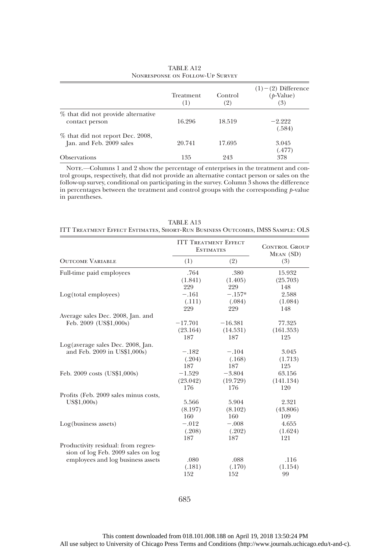|                                                              | Treatment<br>(1) | Control<br>(2) | $(1) - (2)$ Difference<br>$(p\text{-Value})$<br>(3) |
|--------------------------------------------------------------|------------------|----------------|-----------------------------------------------------|
| % that did not provide alternative<br>contact person         | 16.296           | 18.519         | $-2.222$<br>(.584)                                  |
| % that did not report Dec. 2008,<br>Jan. and Feb. 2009 sales | 20.741           | 17.695         | 3.045<br>(.477)                                     |
| Observations                                                 | 135              | 243            | 378                                                 |

| TABLE A12                       |  |
|---------------------------------|--|
| NONRESPONSE ON FOLLOW-UP SURVEY |  |

NOTE.—Columns 1 and 2 show the percentage of enterprises in the treatment and control groups, respectively, that did not provide an alternative contact person or sales on the follow-up survey, conditional on participating in the survey. Column 3 shows the difference in percentages between the treatment and control groups with the corresponding  $p$ -value in parentheses.

|                                       |           | <b>ITT TREATMENT EFFECT</b><br><b>ESTIMATES</b> | <b>CONTROL GROUP</b><br>MEAN (SD) |
|---------------------------------------|-----------|-------------------------------------------------|-----------------------------------|
| <b>OUTCOME VARIABLE</b>               | (1)       | (2)                                             | (3)                               |
| Full-time paid employees              | .764      | .380                                            | 15.932                            |
|                                       | (1.841)   | (1.405)                                         | (25.703)                          |
|                                       | 229       | 229                                             | 148                               |
| Log(total employees)                  | $-.161$   | $-.157*$                                        | 2.588                             |
|                                       | (.111)    | (.084)                                          | (1.084)                           |
|                                       | 229       | 229                                             | 148                               |
| Average sales Dec. 2008, Jan. and     |           |                                                 |                                   |
| Feb. 2009 (US\$1,000s)                | $-17.701$ | $-16.381$                                       | 77.325                            |
|                                       | (23.164)  | (14.531)                                        | (161.353)                         |
|                                       | 187       | 187                                             | 125                               |
| Log(average sales Dec. 2008, Jan.     |           |                                                 |                                   |
| and Feb. 2009 in US\$1,000s)          | $-.182$   | $-.104$                                         | 3.045                             |
|                                       | (.204)    | (.168)                                          | (1.713)                           |
|                                       | 187       | 187                                             | 125                               |
| Feb. 2009 costs (US\$1,000s)          | $-1.529$  | $-3.804$                                        | 63.156                            |
|                                       | (23.042)  | (19.729)                                        | (141.134)                         |
|                                       | 176       | 176                                             | 120                               |
| Profits (Feb. 2009 sales minus costs, |           |                                                 |                                   |
| US\$1,000s                            | 5.566     | 5.904                                           | 2.321                             |
|                                       | (8.197)   | (8.102)                                         | (43.806)                          |
|                                       | 160       | 160                                             | 109                               |
| Log(business assets)                  | $-.012$   | $-.008$                                         | 4.655                             |
|                                       | (.208)    | (.202)                                          | (1.624)                           |
|                                       | 187       | 187                                             | 121                               |
| Productivity residual: from regres-   |           |                                                 |                                   |
| sion of log Feb. 2009 sales on log    |           |                                                 |                                   |
| employees and log business assets     | .080      | .088                                            | .116                              |
|                                       | (.181)    | (.170)                                          | (1.154)                           |
|                                       | 152       | 152                                             | 99                                |

| TABLE A13 |  |  |  |                                                                               |  |  |  |  |  |
|-----------|--|--|--|-------------------------------------------------------------------------------|--|--|--|--|--|
|           |  |  |  | ITT TREATMENT EFFECT ESTIMATES. SHORT-RUN BUSINESS OUTCOMES. IMSS SAMPLE: OLS |  |  |  |  |  |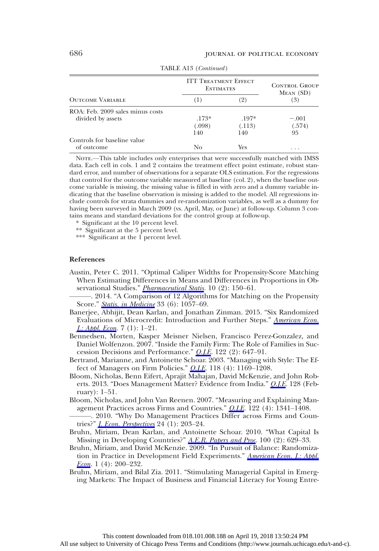|                                  | <b>ITT TREATMENT EFFECT</b><br><b>ESTIMATES</b> | <b>CONTROL GROUP</b><br>MEAN (SD) |         |  |
|----------------------------------|-------------------------------------------------|-----------------------------------|---------|--|
| <b>OUTCOME VARIABLE</b>          | (1)                                             | (2)                               | (3)     |  |
| ROA: Feb. 2009 sales minus costs |                                                 |                                   |         |  |
| divided by assets                | $.173*$                                         | $.197*$                           | $-.001$ |  |
|                                  | (.098)                                          | (.113)                            | (.574)  |  |
|                                  | 140                                             | 140                               | 95      |  |
| Controls for baseline value      |                                                 |                                   |         |  |
| of outcome                       | Nο                                              | Yes                               | .       |  |

TABLE A13 (Continued )

NOTE.-This table includes only enterprises that were successfully matched with IMSS data. Each cell in cols. 1 and 2 contains the treatment effect point estimate, robust standard error, and number of observations for a separate OLS estimation. For the regressions that control for the outcome variable measured at baseline (col. 2), when the baseline outcome variable is missing, the missing value is filled in with zero and a dummy variable indicating that the baseline observation is missing is added to the model. All regressions include controls for strata dummies and re-randomization variables, as well as a dummy for having been surveyed in March 2009 (vs. April, May, or June) at follow-up. Column 3 contains means and standard deviations for the control group at follow-up.

\* Significant at the 10 percent level.

\*\* Significant at the 5 percent level.

\*\*\* Significant at the 1 percent level.

#### References

- Austin, Peter C. 2011. "Optimal Caliper Widths for Propensity-Score Matching When Estimating Differences in Means and Differences in Proportions in Observational Studies." *[Pharmaceutical Statis](https://www.journals.uchicago.edu/action/showLinks?doi=10.1086%2F696154&crossref=10.1002%2Fpst.433&citationId=p_19)*. 10 (2): 150–61.
- . 2014. "A Comparison of 12 Algorithms for Matching on the Propensity Score." [Statis. in Medicine](https://www.journals.uchicago.edu/action/showLinks?doi=10.1086%2F696154&crossref=10.1002%2Fsim.6004&citationId=p_20) 33 (6): 1057-69.
- Banerjee, Abhijit, Dean Karlan, and Jonathan Zinman. 2015. "Six Randomized Evaluations of Microcredit: Introduction and Further Steps." [American Econ.](https://www.journals.uchicago.edu/action/showLinks?doi=10.1086%2F696154&crossref=10.1257%2Fapp.20140287&citationId=p_21)  $I.:$  Appl. Econ. 7 (1): 1–21.
- Bennedsen, Morten, Kasper Meisner Nielsen, Francisco Perez-Gonzalez, and Daniel Wolfenzon. 2007. "Inside the Family Firm: The Role of Families in Succession Decisions and Performance." [Q.J.E.](https://www.journals.uchicago.edu/action/showLinks?doi=10.1086%2F696154&crossref=10.1162%2Fqjec.122.2.647&citationId=p_22) 122 (2): 647–91.
- Bertrand, Marianne, and Antoinette Schoar. 2003. "Managing with Style: The Effect of Managers on Firm Policies." O.J.E. 118 (4): 1169-1208.
- Bloom, Nicholas, Benn Eifert, Aprajit Mahajan, David McKenzie, and John Roberts. 2013. "Does Management Matter? Evidence from India." O.J.E. 128 (February): 1–51.
- Bloom, Nicholas, and John Van Reenen. 2007. "Measuring and Explaining Management Practices across Firms and Countries." [Q.J.E](https://www.journals.uchicago.edu/action/showLinks?doi=10.1086%2F696154&crossref=10.1162%2Fqjec.2007.122.4.1351&citationId=p_25). 122 (4): 1341–1408.
- ———. 2010. "Why Do Management Practices Differ across Firms and Countries?" *[J. Econ. Perspectives](https://www.journals.uchicago.edu/action/showLinks?doi=10.1086%2F696154&crossref=10.1257%2Fjep.24.1.203&citationId=p_26)* 24 (1): 203–24.
- Bruhn, Miriam, Dean Karlan, and Antoinette Schoar. 2010. "What Capital Is Missing in Developing Countries?" [A.E.R. Papers and Proc](https://www.journals.uchicago.edu/action/showLinks?doi=10.1086%2F696154&crossref=10.1257%2Faer.100.2.629&citationId=p_27). 100 (2): 629-33.
- Bruhn, Miriam, and David McKenzie. 2009. "In Pursuit of Balance: Randomiza-tion in Practice in Development Field Experiments." [American Econ. J.: Appl.](https://www.journals.uchicago.edu/action/showLinks?doi=10.1086%2F696154&crossref=10.1257%2Fapp.1.4.200&citationId=p_28) *[Econ](https://www.journals.uchicago.edu/action/showLinks?doi=10.1086%2F696154&crossref=10.1257%2Fapp.1.4.200&citationId=p_28).* 1 (4):  $200-232$ .
- Bruhn, Miriam, and Bilal Zia. 2011. "Stimulating Managerial Capital in Emerging Markets: The Impact of Business and Financial Literacy for Young Entre-